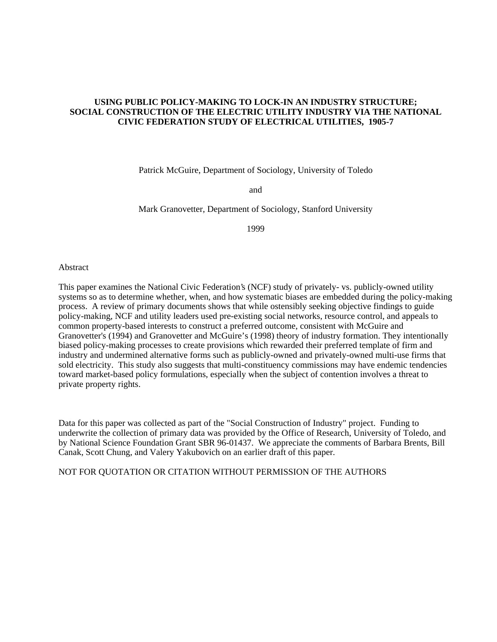## **USING PUBLIC POLICY-MAKING TO LOCK-IN AN INDUSTRY STRUCTURE; SOCIAL CONSTRUCTION OF THE ELECTRIC UTILITY INDUSTRY VIA THE NATIONAL CIVIC FEDERATION STUDY OF ELECTRICAL UTILITIES, 1905-7**

Patrick McGuire, Department of Sociology, University of Toledo

and

Mark Granovetter, Department of Sociology, Stanford University

1999

#### Abstract

This paper examines the National Civic Federation's (NCF) study of privately- vs. publicly-owned utility systems so as to determine whether, when, and how systematic biases are embedded during the policy-making process. A review of primary documents shows that while ostensibly seeking objective findings to guide policy-making, NCF and utility leaders used pre-existing social networks, resource control, and appeals to common property-based interests to construct a preferred outcome, consistent with McGuire and Granovetter's (1994) and Granovetter and McGuire's (1998) theory of industry formation. They intentionally biased policy-making processes to create provisions which rewarded their preferred template of firm and industry and undermined alternative forms such as publicly-owned and privately-owned multi-use firms that sold electricity. This study also suggests that multi-constituency commissions may have endemic tendencies toward market-based policy formulations, especially when the subject of contention involves a threat to private property rights.

Data for this paper was collected as part of the "Social Construction of Industry" project. Funding to underwrite the collection of primary data was provided by the Office of Research, University of Toledo, and by National Science Foundation Grant SBR 96-01437. We appreciate the comments of Barbara Brents, Bill Canak, Scott Chung, and Valery Yakubovich on an earlier draft of this paper.

NOT FOR QUOTATION OR CITATION WITHOUT PERMISSION OF THE AUTHORS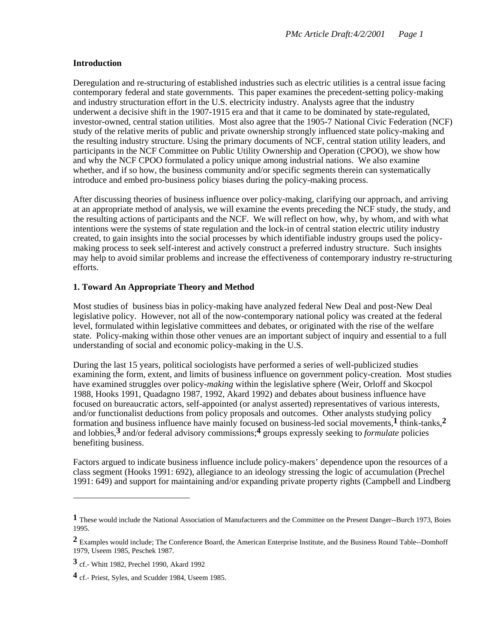### **Introduction**

Deregulation and re-structuring of established industries such as electric utilities is a central issue facing contemporary federal and state governments. This paper examines the precedent-setting policy-making and industry structuration effort in the U.S. electricity industry. Analysts agree that the industry underwent a decisive shift in the 1907-1915 era and that it came to be dominated by state-regulated, investor-owned, central station utilities. Most also agree that the 1905-7 National Civic Federation (NCF) study of the relative merits of public and private ownership strongly influenced state policy-making and the resulting industry structure. Using the primary documents of NCF, central station utility leaders, and participants in the NCF Committee on Public Utility Ownership and Operation (CPOO), we show how and why the NCF CPOO formulated a policy unique among industrial nations. We also examine whether, and if so how, the business community and/or specific segments therein can systematically introduce and embed pro-business policy biases during the policy-making process.

After discussing theories of business influence over policy-making, clarifying our approach, and arriving at an appropriate method of analysis, we will examine the events preceding the NCF study, the study, and the resulting actions of participants and the NCF. We will reflect on how, why, by whom, and with what intentions were the systems of state regulation and the lock-in of central station electric utility industry created, to gain insights into the social processes by which identifiable industry groups used the policymaking process to seek self-interest and actively construct a preferred industry structure. Such insights may help to avoid similar problems and increase the effectiveness of contemporary industry re-structuring efforts.

## **1. Toward An Appropriate Theory and Method**

Most studies of business bias in policy-making have analyzed federal New Deal and post-New Deal legislative policy. However, not all of the now-contemporary national policy was created at the federal level, formulated within legislative committees and debates, or originated with the rise of the welfare state. Policy-making within those other venues are an important subject of inquiry and essential to a full understanding of social and economic policy-making in the U.S.

During the last 15 years, political sociologists have performed a series of well-publicized studies examining the form, extent, and limits of business influence on government policy-creation. Most studies have examined struggles over policy-*making* within the legislative sphere (Weir, Orloff and Skocpol 1988, Hooks 1991, Quadagno 1987, 1992, Akard 1992) and debates about business influence have focused on bureaucratic actors, self-appointed (or analyst asserted) representatives of various interests, and/or functionalist deductions from policy proposals and outcomes. Other analysts studying policy formation and business influence have mainly focused on business-led social movements,**1** think-tanks,**2** and lobbies,**3** and/or federal advisory commissions;**4** groups expressly seeking to *formulate* policies benefiting business.

Factors argued to indicate business influence include policy-makers' dependence upon the resources of a class segment (Hooks 1991: 692), allegiance to an ideology stressing the logic of accumulation (Prechel 1991: 649) and support for maintaining and/or expanding private property rights (Campbell and Lindberg

**<sup>1</sup>** These would include the National Association of Manufacturers and the Committee on the Present Danger--Burch 1973, Boies 1995.

**<sup>2</sup>** Examples would include; The Conference Board, the American Enterprise Institute, and the Business Round Table--Domhoff 1979, Useem 1985, Peschek 1987.

**<sup>3</sup>** cf.- Whitt 1982, Prechel 1990, Akard 1992

**<sup>4</sup>** cf.- Priest, Syles, and Scudder 1984, Useem 1985.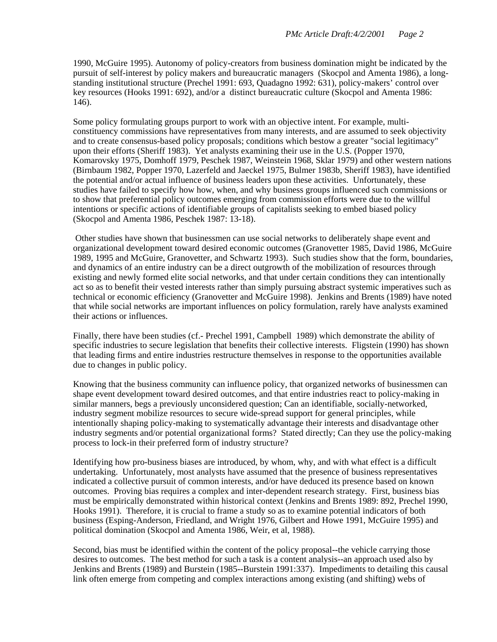1990, McGuire 1995). Autonomy of policy-creators from business domination might be indicated by the pursuit of self-interest by policy makers and bureaucratic managers (Skocpol and Amenta 1986), a longstanding institutional structure (Prechel 1991: 693, Quadagno 1992: 631), policy-makers' control over key resources (Hooks 1991: 692), and/or a distinct bureaucratic culture (Skocpol and Amenta 1986: 146).

Some policy formulating groups purport to work with an objective intent. For example, multiconstituency commissions have representatives from many interests, and are assumed to seek objectivity and to create consensus-based policy proposals; conditions which bestow a greater "social legitimacy" upon their efforts (Sheriff 1983). Yet analysts examining their use in the U.S. (Popper 1970, Komarovsky 1975, Domhoff 1979, Peschek 1987, Weinstein 1968, Sklar 1979) and other western nations (Birnbaum 1982, Popper 1970, Lazerfeld and Jaeckel 1975, Bulmer 1983b, Sheriff 1983), have identified the potential and/or actual influence of business leaders upon these activities. Unfortunately, these studies have failed to specify how how, when, and why business groups influenced such commissions or to show that preferential policy outcomes emerging from commission efforts were due to the willful intentions or specific actions of identifiable groups of capitalists seeking to embed biased policy (Skocpol and Amenta 1986, Peschek 1987: 13-18).

 Other studies have shown that businessmen can use social networks to deliberately shape event and organizational development toward desired economic outcomes (Granovetter 1985, David 1986, McGuire 1989, 1995 and McGuire, Granovetter, and Schwartz 1993). Such studies show that the form, boundaries, and dynamics of an entire industry can be a direct outgrowth of the mobilization of resources through existing and newly formed elite social networks, and that under certain conditions they can intentionally act so as to benefit their vested interests rather than simply pursuing abstract systemic imperatives such as technical or economic efficiency (Granovetter and McGuire 1998). Jenkins and Brents (1989) have noted that while social networks are important influences on policy formulation, rarely have analysts examined their actions or influences.

Finally, there have been studies (cf.- Prechel 1991, Campbell 1989) which demonstrate the ability of specific industries to secure legislation that benefits their collective interests. Fligstein (1990) has shown that leading firms and entire industries restructure themselves in response to the opportunities available due to changes in public policy.

Knowing that the business community can influence policy, that organized networks of businessmen can shape event development toward desired outcomes, and that entire industries react to policy-making in similar manners, begs a previously unconsidered question; Can an identifiable, socially-networked, industry segment mobilize resources to secure wide-spread support for general principles, while intentionally shaping policy-making to systematically advantage their interests and disadvantage other industry segments and/or potential organizational forms? Stated directly; Can they use the policy-making process to lock-in their preferred form of industry structure?

Identifying how pro-business biases are introduced, by whom, why, and with what effect is a difficult undertaking. Unfortunately, most analysts have assumed that the presence of business representatives indicated a collective pursuit of common interests, and/or have deduced its presence based on known outcomes. Proving bias requires a complex and inter-dependent research strategy. First, business bias must be empirically demonstrated within historical context (Jenkins and Brents 1989: 892, Prechel 1990, Hooks 1991). Therefore, it is crucial to frame a study so as to examine potential indicators of both business (Esping-Anderson, Friedland, and Wright 1976, Gilbert and Howe 1991, McGuire 1995) and political domination (Skocpol and Amenta 1986, Weir, et al, 1988).

Second, bias must be identified within the content of the policy proposal--the vehicle carrying those desires to outcomes. The best method for such a task is a content analysis--an approach used also by Jenkins and Brents (1989) and Burstein (1985--Burstein 1991:337). Impediments to detailing this causal link often emerge from competing and complex interactions among existing (and shifting) webs of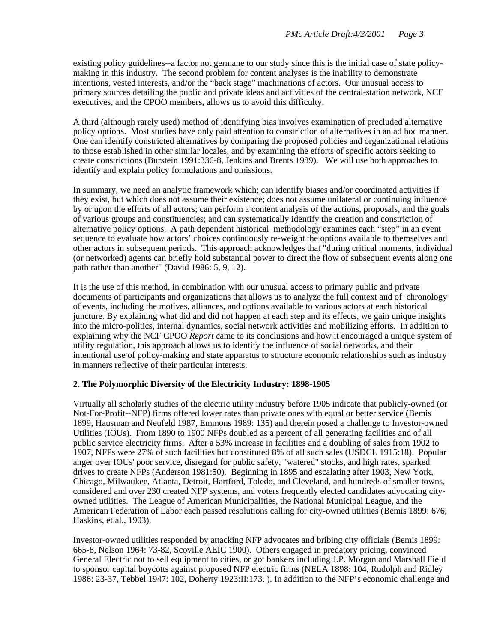existing policy guidelines--a factor not germane to our study since this is the initial case of state policymaking in this industry. The second problem for content analyses is the inability to demonstrate intentions, vested interests, and/or the "back stage" machinations of actors. Our unusual access to primary sources detailing the public and private ideas and activities of the central-station network, NCF executives, and the CPOO members, allows us to avoid this difficulty.

A third (although rarely used) method of identifying bias involves examination of precluded alternative policy options. Most studies have only paid attention to constriction of alternatives in an ad hoc manner. One can identify constricted alternatives by comparing the proposed policies and organizational relations to those established in other similar locales, and by examining the efforts of specific actors seeking to create constrictions (Burstein 1991:336-8, Jenkins and Brents 1989). We will use both approaches to identify and explain policy formulations and omissions.

In summary, we need an analytic framework which; can identify biases and/or coordinated activities if they exist, but which does not assume their existence; does not assume unilateral or continuing influence by or upon the efforts of all actors; can perform a content analysis of the actions, proposals, and the goals of various groups and constituencies; and can systematically identify the creation and constriction of alternative policy options. A path dependent historical methodology examines each "step" in an event sequence to evaluate how actors' choices continuously re-weight the options available to themselves and other actors in subsequent periods. This approach acknowledges that "during critical moments, individual (or networked) agents can briefly hold substantial power to direct the flow of subsequent events along one path rather than another" (David 1986: 5, 9, 12).

It is the use of this method, in combination with our unusual access to primary public and private documents of participants and organizations that allows us to analyze the full context and of chronology of events, including the motives, alliances, and options available to various actors at each historical juncture. By explaining what did and did not happen at each step and its effects, we gain unique insights into the micro-politics, internal dynamics, social network activities and mobilizing efforts. In addition to explaining why the NCF CPOO *Report* came to its conclusions and how it encouraged a unique system of utility regulation, this approach allows us to identify the influence of social networks, and their intentional use of policy-making and state apparatus to structure economic relationships such as industry in manners reflective of their particular interests.

#### **2. The Polymorphic Diversity of the Electricity Industry: 1898-1905**

Virtually all scholarly studies of the electric utility industry before 1905 indicate that publicly-owned (or Not-For-Profit--NFP) firms offered lower rates than private ones with equal or better service (Bemis 1899, Hausman and Neufeld 1987, Emmons 1989: 135) and therein posed a challenge to Investor-owned Utilities (IOUs). From 1890 to 1900 NFPs doubled as a percent of all generating facilities and of all public service electricity firms. After a 53% increase in facilities and a doubling of sales from 1902 to 1907, NFPs were 27% of such facilities but constituted 8% of all such sales (USDCL 1915:18). Popular anger over IOUs' poor service, disregard for public safety, "watered" stocks, and high rates, sparked drives to create NFPs (Anderson 1981:50). Beginning in 1895 and escalating after 1903, New York, Chicago, Milwaukee, Atlanta, Detroit, Hartford, Toledo, and Cleveland, and hundreds of smaller towns, considered and over 230 created NFP systems, and voters frequently elected candidates advocating cityowned utilities. The League of American Municipalities, the National Municipal League, and the American Federation of Labor each passed resolutions calling for city-owned utilities (Bemis 1899: 676, Haskins, et al., 1903).

Investor-owned utilities responded by attacking NFP advocates and bribing city officials (Bemis 1899: 665-8, Nelson 1964: 73-82, Scoville AEIC 1900). Others engaged in predatory pricing, convinced General Electric not to sell equipment to cities, or got bankers including J.P. Morgan and Marshall Field to sponsor capital boycotts against proposed NFP electric firms (NELA 1898: 104, Rudolph and Ridley 1986: 23-37, Tebbel 1947: 102, Doherty 1923:II:173. ). In addition to the NFP's economic challenge and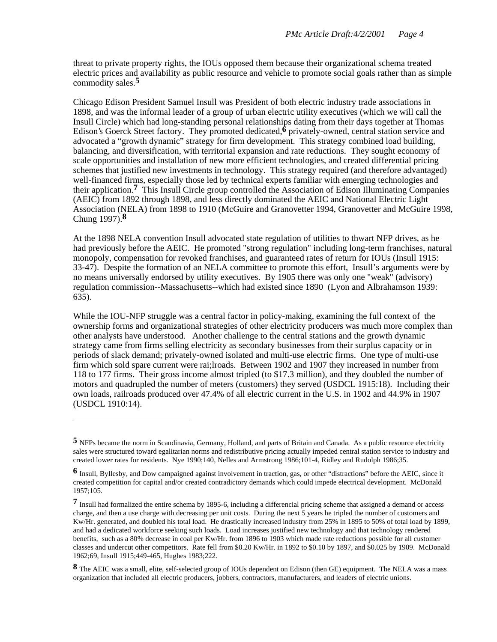threat to private property rights, the IOUs opposed them because their organizational schema treated electric prices and availability as public resource and vehicle to promote social goals rather than as simple commodity sales.**5**

Chicago Edison President Samuel Insull was President of both electric industry trade associations in 1898, and was the informal leader of a group of urban electric utility executives (which we will call the Insull Circle) which had long-standing personal relationships dating from their days together at Thomas Edison's Goerck Street factory. They promoted dedicated,**6** privately-owned, central station service and advocated a "growth dynamic" strategy for firm development. This strategy combined load building, balancing, and diversification, with territorial expansion and rate reductions. They sought economy of scale opportunities and installation of new more efficient technologies, and created differential pricing schemes that justified new investments in technology. This strategy required (and therefore advantaged) well-financed firms, especially those led by technical experts familiar with emerging technologies and their application.**7** This Insull Circle group controlled the Association of Edison Illuminating Companies (AEIC) from 1892 through 1898, and less directly dominated the AEIC and National Electric Light Association (NELA) from 1898 to 1910 (McGuire and Granovetter 1994, Granovetter and McGuire 1998, Chung 1997).**8**

At the 1898 NELA convention Insull advocated state regulation of utilities to thwart NFP drives, as he had previously before the AEIC. He promoted "strong regulation" including long-term franchises, natural monopoly, compensation for revoked franchises, and guaranteed rates of return for IOUs (Insull 1915: 33-47). Despite the formation of an NELA committee to promote this effort, Insull's arguments were by no means universally endorsed by utility executives. By 1905 there was only one "weak" (advisory) regulation commission--Massachusetts--which had existed since 1890 (Lyon and Albrahamson 1939: 635).

While the IOU-NFP struggle was a central factor in policy-making, examining the full context of the ownership forms and organizational strategies of other electricity producers was much more complex than other analysts have understood. Another challenge to the central stations and the growth dynamic strategy came from firms selling electricity as secondary businesses from their surplus capacity or in periods of slack demand; privately-owned isolated and multi-use electric firms. One type of multi-use firm which sold spare current were rai;lroads. Between 1902 and 1907 they increased in number from 118 to 177 firms. Their gross income almost tripled (to \$17.3 million), and they doubled the number of motors and quadrupled the number of meters (customers) they served (USDCL 1915:18). Including their own loads, railroads produced over 47.4% of all electric current in the U.S. in 1902 and 44.9% in 1907 (USDCL 1910:14).

**<sup>5</sup>** NFPs became the norm in Scandinavia, Germany, Holland, and parts of Britain and Canada. As a public resource electricity sales were structured toward egalitarian norms and redistributive pricing actually impeded central station service to industry and created lower rates for residents. Nye 1990;140, Nelles and Armstrong 1986;101-4, Ridley and Rudolph 1986;35.

**<sup>6</sup>** Insull, Byllesby, and Dow campaigned against involvement in traction, gas, or other "distractions" before the AEIC, since it created competition for capital and/or created contradictory demands which could impede electrical development. McDonald 1957;105.

**<sup>7</sup>** Insull had formalized the entire schema by 1895-6, including a differencial pricing scheme that assigned a demand or access charge, and then a use charge with decreasing per unit costs. During the next 5 years he tripled the number of customers and Kw/Hr. generated, and doubled his total load. He drastically increased industry from 25% in 1895 to 50% of total load by 1899, and had a dedicated workforce seeking such loads. Load increases justified new technology and that technology rendered benefits, such as a 80% decrease in coal per Kw/Hr. from 1896 to 1903 which made rate reductions possible for all customer classes and undercut other competitors. Rate fell from \$0.20 Kw/Hr. in 1892 to \$0.10 by 1897, and \$0.025 by 1909. McDonald 1962;69, Insull 1915;449-465, Hughes 1983;222.

**<sup>8</sup>** The AEIC was a small, elite, self-selected group of IOUs dependent on Edison (then GE) equipment. The NELA was a mass organization that included all electric producers, jobbers, contractors, manufacturers, and leaders of electric unions.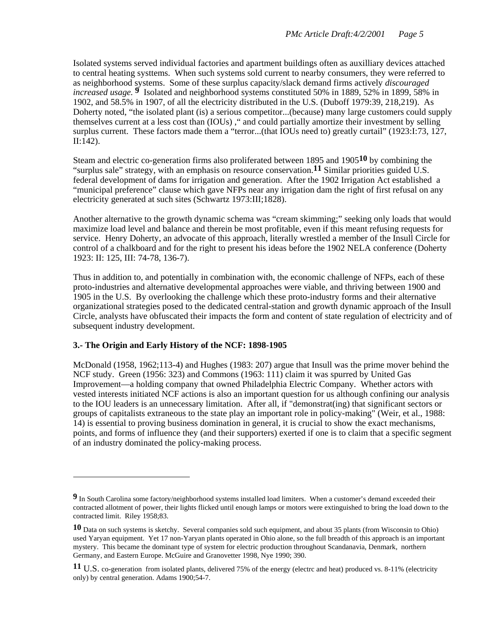Isolated systems served individual factories and apartment buildings often as auxilliary devices attached to central heating systtems. When such systems sold current to nearby consumers, they were referred to as neighborhood systems. Some of these surplus capacity/slack demand firms actively *discouraged increased usage.* **9** Isolated and neighborhood systems constituted 50% in 1889, 52% in 1899, 58% in 1902, and 58.5% in 1907, of all the electricity distributed in the U.S. (Duboff 1979:39, 218,219). As Doherty noted, "the isolated plant (is) a serious competitor...(because) many large customers could supply themselves current at a less cost than (IOUs) ," and could partially amortize their investment by selling surplus current. These factors made them a "terror...(that IOUs need to) greatly curtail" (1923:I:73, 127, II:142).

Steam and electric co-generation firms also proliferated between 1895 and 1905**10** by combining the "surplus sale" strategy, with an emphasis on resource conservation.**11** Similar priorities guided U.S. federal development of dams for irrigation and generation. After the 1902 Irrigation Act established a "municipal preference" clause which gave NFPs near any irrigation dam the right of first refusal on any electricity generated at such sites (Schwartz 1973:III;1828).

Another alternative to the growth dynamic schema was "cream skimming;" seeking only loads that would maximize load level and balance and therein be most profitable, even if this meant refusing requests for service. Henry Doherty, an advocate of this approach, literally wrestled a member of the Insull Circle for control of a chalkboard and for the right to present his ideas before the 1902 NELA conference (Doherty 1923: II: 125, III: 74-78, 136-7).

Thus in addition to, and potentially in combination with, the economic challenge of NFPs, each of these proto-industries and alternative developmental approaches were viable, and thriving between 1900 and 1905 in the U.S. By overlooking the challenge which these proto-industry forms and their alternative organizational strategies posed to the dedicated central-station and growth dynamic approach of the Insull Circle, analysts have obfuscated their impacts the form and content of state regulation of electricity and of subsequent industry development.

## **3.- The Origin and Early History of the NCF: 1898-1905**

 $\overline{a}$ 

McDonald (1958, 1962;113-4) and Hughes (1983: 207) argue that Insull was the prime mover behind the NCF study. Green (1956: 323) and Commons (1963: 111) claim it was spurred by United Gas Improvement—a holding company that owned Philadelphia Electric Company. Whether actors with vested interests initiated NCF actions is also an important question for us although confining our analysis to the IOU leaders is an unnecessary limitation. After all, if "demonstrat(ing) that significant sectors or groups of capitalists extraneous to the state play an important role in policy-making" (Weir, et al., 1988: 14) is essential to proving business domination in general, it is crucial to show the exact mechanisms, points, and forms of influence they (and their supporters) exerted if one is to claim that a specific segment of an industry dominated the policy-making process.

**<sup>9</sup>** In South Carolina some factory/neighborhood systems installed load limiters. When a customer's demand exceeded their contracted allotment of power, their lights flicked until enough lamps or motors were extinguished to bring the load down to the contracted limit. Riley 1958;83.

**<sup>10</sup>** Data on such systems is sketchy. Several companies sold such equipment, and about 35 plants (from Wisconsin to Ohio) used Yaryan equipment. Yet 17 non-Yaryan plants operated in Ohio alone, so the full breadth of this approach is an important mystery. This became the dominant type of system for electric production throughout Scandanavia, Denmark, northern Germany, and Eastern Europe. McGuire and Granovetter 1998, Nye 1990; 390.

**<sup>11</sup>** U.S. co-generation from isolated plants, delivered 75% of the energy (electrc and heat) produced vs. 8-11% (electricity only) by central generation. Adams 1900;54-7.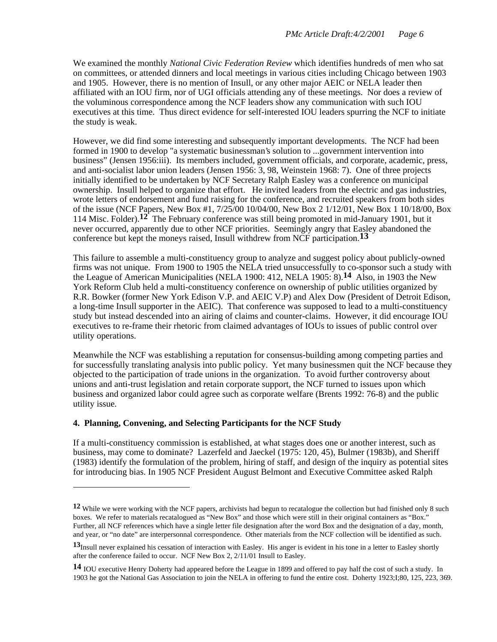We examined the monthly *National Civic Federation Review* which identifies hundreds of men who sat on committees, or attended dinners and local meetings in various cities including Chicago between 1903 and 1905. However, there is no mention of Insull, or any other major AEIC or NELA leader then affiliated with an IOU firm, nor of UGI officials attending any of these meetings. Nor does a review of the voluminous correspondence among the NCF leaders show any communication with such IOU executives at this time. Thus direct evidence for self-interested IOU leaders spurring the NCF to initiate the study is weak.

However, we did find some interesting and subsequently important developments. The NCF had been formed in 1900 to develop "a systematic businessman's solution to ...government intervention into business" (Jensen 1956:iii). Its members included, government officials, and corporate, academic, press, and anti-socialist labor union leaders (Jensen 1956: 3, 98, Weinstein 1968: 7). One of three projects initially identified to be undertaken by NCF Secretary Ralph Easley was a conference on municipal ownership. Insull helped to organize that effort. He invited leaders from the electric and gas industries, wrote letters of endorsement and fund raising for the conference, and recruited speakers from both sides of the issue (NCF Papers, New Box #1, 7/25/00 10/04/00, New Box 2 1/12/01, New Box 1 10/18/00, Box 114 Misc. Folder).**12** The February conference was still being promoted in mid-January 1901, but it never occurred, apparently due to other NCF priorities. Seemingly angry that Easley abandoned the conference but kept the moneys raised, Insull withdrew from NCF participation.**13**

This failure to assemble a multi-constituency group to analyze and suggest policy about publicly-owned firms was not unique. From 1900 to 1905 the NELA tried unsuccessfully to co-sponsor such a study with the League of American Municipalities (NELA 1900: 412, NELA 1905: 8).**14** Also, in 1903 the New York Reform Club held a multi-constituency conference on ownership of public utilities organized by R.R. Bowker (former New York Edison V.P. and AEIC V.P) and Alex Dow (President of Detroit Edison, a long-time Insull supporter in the AEIC). That conference was supposed to lead to a multi-constituency study but instead descended into an airing of claims and counter-claims. However, it did encourage IOU executives to re-frame their rhetoric from claimed advantages of IOUs to issues of public control over utility operations.

Meanwhile the NCF was establishing a reputation for consensus-building among competing parties and for successfully translating analysis into public policy. Yet many businessmen quit the NCF because they objected to the participation of trade unions in the organization. To avoid further controversy about unions and anti-trust legislation and retain corporate support, the NCF turned to issues upon which business and organized labor could agree such as corporate welfare (Brents 1992: 76-8) and the public utility issue.

## **4. Planning, Convening, and Selecting Participants for the NCF Study**

 $\overline{a}$ 

If a multi-constituency commission is established, at what stages does one or another interest, such as business, may come to dominate? Lazerfeld and Jaeckel (1975: 120, 45), Bulmer (1983b), and Sheriff (1983) identify the formulation of the problem, hiring of staff, and design of the inquiry as potential sites for introducing bias. In 1905 NCF President August Belmont and Executive Committee asked Ralph

**<sup>12</sup>** While we were working with the NCF papers, archivists had begun to recatalogue the collection but had finished only 8 such boxes. We refer to materials recatalogued as "New Box" and those which were still in their original containers as "Box." Further, all NCF references which have a single letter file designation after the word Box and the designation of a day, month, and year, or "no date" are interpersonnal correspondence. Other materials from the NCF collection will be identified as such.

<sup>13&</sup>lt;sub>Insull</sub> never explained his cessation of interaction with Easley. His anger is evident in his tone in a letter to Easley shortly after the conference failed to occur. NCF New Box 2, 2/11/01 Insull to Easley.

**<sup>14</sup>** IOU executive Henry Doherty had appeared before the League in 1899 and offered to pay half the cost of such a study. In 1903 he got the National Gas Association to join the NELA in offering to fund the entire cost. Doherty 1923;I;80, 125, 223, 369.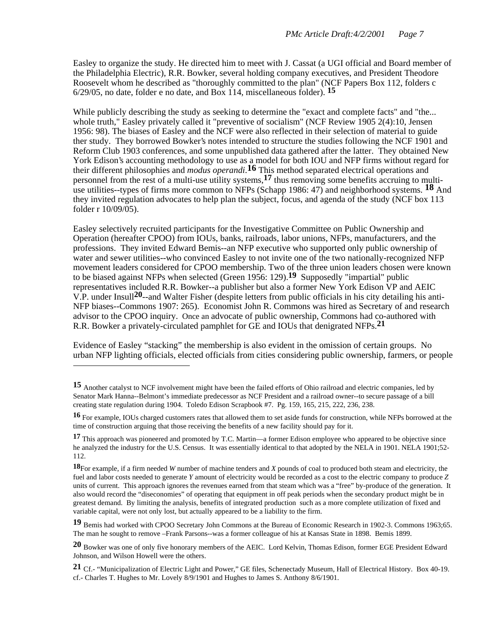Easley to organize the study. He directed him to meet with J. Cassat (a UGI official and Board member of the Philadelphia Electric), R.R. Bowker, several holding company executives, and President Theodore Roosevelt whom he described as "thoroughly committed to the plan" (NCF Papers Box 112, folders c 6/29/05, no date, folder e no date, and Box 114, miscellaneous folder). **15**

While publicly describing the study as seeking to determine the "exact and complete facts" and "the... whole truth," Easley privately called it "preventive of socialism" (NCF Review 1905 2(4):10, Jensen 1956: 98). The biases of Easley and the NCF were also reflected in their selection of material to guide ther study. They borrowed Bowker's notes intended to structure the studies following the NCF 1901 and Reform Club 1903 conferences, and some unpublished data gathered after the latter. They obtained New York Edison's accounting methodology to use as a model for both IOU and NFP firms without regard for their different philosophies and *modus operandi*. **16** This method separated electrical operations and personnel from the rest of a multi-use utility systems,**17** thus removing some benefits accruing to multiuse utilities--types of firms more common to NFPs (Schapp 1986: 47) and neighborhood systems. **18** And they invited regulation advocates to help plan the subject, focus, and agenda of the study (NCF box 113 folder r 10/09/05).

Easley selectively recruited participants for the Investigative Committee on Public Ownership and Operation (hereafter CPOO) from IOUs, banks, railroads, labor unions, NFPs, manufacturers, and the professions. They invited Edward Bemis--an NFP executive who supported only public ownership of water and sewer utilities--who convinced Easley to not invite one of the two nationally-recognized NFP movement leaders considered for CPOO membership. Two of the three union leaders chosen were known to be biased against NFPs when selected (Green 1956: 129).**19** Supposedly "impartial" public representatives included R.R. Bowker--a publisher but also a former New York Edison VP and AEIC V.P. under Insull**20**--and Walter Fisher (despite letters from public officials in his city detailing his anti-NFP biases--Commons 1907: 265). Economist John R. Commons was hired as Secretary of and research advisor to the CPOO inquiry. Once an advocate of public ownership, Commons had co-authored with R.R. Bowker a privately-circulated pamphlet for GE and IOUs that denigrated NFPs.**21**

Evidence of Easley "stacking" the membership is also evident in the omission of certain groups. No urban NFP lighting officials, elected officials from cities considering public ownership, farmers, or people

 $\overline{a}$ 

**19** Bemis had worked with CPOO Secretary John Commons at the Bureau of Economic Research in 1902-3. Commons 1963;65. The man he sought to remove –Frank Parsons--was a former colleague of his at Kansas State in 1898. Bemis 1899.

<sup>15</sup> Another catalyst to NCF involvement might have been the failed efforts of Ohio railroad and electric companies, led by Senator Mark Hanna--Belmont's immediate predecessor as NCF President and a railroad owner--to secure passage of a bill creating state regulation during 1904. Toledo Edison Scrapbook #7. Pg. 159, 165, 215, 222, 236, 238.

**<sup>16</sup>** For example, IOUs charged customers rates that allowed them to set aside funds for construction, while NFPs borrowed at the time of construction arguing that those receiving the benefits of a new facility should pay for it.

**<sup>17</sup>** This approach was pioneered and promoted by T.C. Martin—a former Edison employee who appeared to be objective since he analyzed the industry for the U.S. Census. It was essentially identical to that adopted by the NELA in 1901. NELA 1901;52- 112.

**<sup>18</sup>**For example, if a firm needed *W* number of machine tenders and *X* pounds of coal to produced both steam and electricity, the fuel and labor costs needed to generate *Y* amount of electricity would be recorded as a cost to the electric company to produce *Z* units of current. This approach ignores the revenues earned from that steam which was a "free" by-produce of the generation. It also would record the "diseconomies" of operating that equipment in off peak periods when the secondary product might be in greatest demand. By limiting the analysis, benefits of integrated production such as a more complete utilization of fixed and variable capital, were not only lost, but actually appeared to be a liability to the firm.

**<sup>20</sup>** Bowker was one of only five honorary members of the AEIC. Lord Kelvin, Thomas Edison, former EGE President Edward Johnson, and Wilson Howell were the others.

**<sup>21</sup>** Cf.- "Municipalization of Electric Light and Power," GE files, Schenectady Museum, Hall of Electrical History. Box 40-19. cf.- Charles T. Hughes to Mr. Lovely 8/9/1901 and Hughes to James S. Anthony 8/6/1901.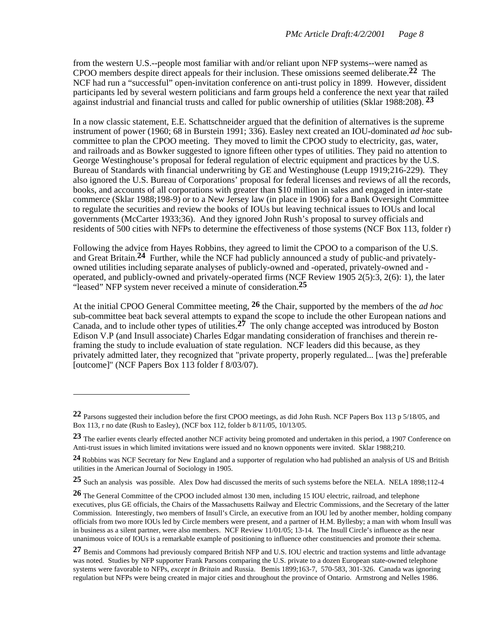from the western U.S.--people most familiar with and/or reliant upon NFP systems--were named as CPOO members despite direct appeals for their inclusion. These omissions seemed deliberate.**22** The NCF had run a "successful" open-invitation conference on anti-trust policy in 1899. However, dissident participants led by several western politicians and farm groups held a conference the next year that railed against industrial and financial trusts and called for public ownership of utilities (Sklar 1988:208). **23**

In a now classic statement, E.E. Schattschneider argued that the definition of alternatives is the supreme instrument of power (1960; 68 in Burstein 1991; 336). Easley next created an IOU-dominated *ad hoc* subcommittee to plan the CPOO meeting. They moved to limit the CPOO study to electricity, gas, water, and railroads and as Bowker suggested to ignore fifteen other types of utilities. They paid no attention to George Westinghouse's proposal for federal regulation of electric equipment and practices by the U.S. Bureau of Standards with financial underwriting by GE and Westinghouse (Leupp 1919;216-229). They also ignored the U.S. Bureau of Corporations' proposal for federal licenses and reviews of all the records, books, and accounts of all corporations with greater than \$10 million in sales and engaged in inter-state commerce (Sklar 1988;198-9) or to a New Jersey law (in place in 1906) for a Bank Oversight Committee to regulate the securities and review the books of IOUs but leaving technical issues to IOUs and local governments (McCarter 1933;36). And they ignored John Rush's proposal to survey officials and residents of 500 cities with NFPs to determine the effectiveness of those systems (NCF Box 113, folder r)

Following the advice from Hayes Robbins, they agreed to limit the CPOO to a comparison of the U.S. and Great Britain.**24** Further, while the NCF had publicly announced a study of public-and privatelyowned utilities including separate analyses of publicly-owned and -operated, privately-owned and operated, and publicly-owned and privately-operated firms (NCF Review 1905 2(5):3, 2(6): 1), the later "leased" NFP system never received a minute of consideration.**25**

At the initial CPOO General Committee meeting, **26** the Chair, supported by the members of the *ad hoc* sub-committee beat back several attempts to expand the scope to include the other European nations and Canada, and to include other types of utilities.**27** The only change accepted was introduced by Boston Edison V.P (and Insull associate) Charles Edgar mandating consideration of franchises and therein reframing the study to include evaluation of state regulation. NCF leaders did this because, as they privately admitted later, they recognized that "private property, properly regulated... [was the] preferable [outcome]" (NCF Papers Box 113 folder f 8/03/07).

**<sup>22</sup>** Parsons suggested their includion before the first CPOO meetings, as did John Rush. NCF Papers Box 113 p 5/18/05, and Box 113, r no date (Rush to Easley), (NCF box 112, folder b 8/11/05, 10/13/05.

**<sup>23</sup>** The earlier events clearly effected another NCF activity being promoted and undertaken in this period, a 1907 Conference on Anti-trust issues in which limited invitations were issued and no known opponents were invited. Sklar 1988;210.

**<sup>24</sup>** Robbins was NCF Secretary for New England and a supporter of regulation who had published an analysis of US and British utilities in the American Journal of Sociology in 1905.

**<sup>25</sup>** Such an analysis was possible. Alex Dow had discussed the merits of such systems before the NELA. NELA 1898;112-4

**<sup>26</sup>** The General Committee of the CPOO included almost 130 men, including 15 IOU electric, railroad, and telephone executives, plus GE officials, the Chairs of the Massachusetts Railway and Electric Commissions, and the Secretary of the latter Commission. Interestingly, two members of Insull's Circle, an executive from an IOU led by another member, holding company officials from two more IOUs led by Circle members were present, and a partner of H.M. Byllesby; a man with whom Insull was in business as a silent partner, were also members. NCF Review 11/01/05; 13-14. The Insull Circle's influence as the near unanimous voice of IOUs is a remarkable example of positioning to influence other constituencies and promote their schema.

**<sup>27</sup>** Bemis and Commons had previously compared British NFP and U.S. IOU electric and traction systems and little advantage was noted. Studies by NFP supporter Frank Parsons comparing the U.S. private to a dozen European state-owned telephone systems were favorable to NFPs, *except in Britain* and Russia. Bemis 1899;163-7, 570-583, 301-326. Canada was ignoring regulation but NFPs were being created in major cities and throughout the province of Ontario. Armstrong and Nelles 1986.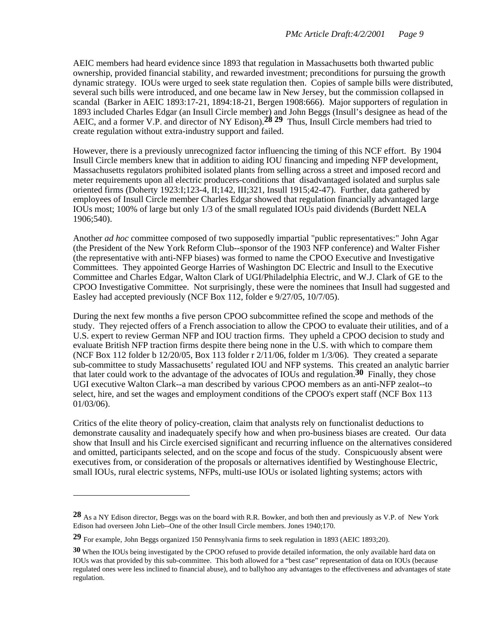AEIC members had heard evidence since 1893 that regulation in Massachusetts both thwarted public ownership, provided financial stability, and rewarded investment; preconditions for pursuing the growth dynamic strategy. IOUs were urged to seek state regulation then. Copies of sample bills were distributed, several such bills were introduced, and one became law in New Jersey, but the commission collapsed in scandal (Barker in AEIC 1893:17-21, 1894:18-21, Bergen 1908:666). Major supporters of regulation in 1893 included Charles Edgar (an Insull Circle member) and John Beggs (Insull's designee as head of the AEIC, and a former V.P. and director of NY Edison).**28 29** Thus, Insull Circle members had tried to create regulation without extra-industry support and failed.

However, there is a previously unrecognized factor influencing the timing of this NCF effort. By 1904 Insull Circle members knew that in addition to aiding IOU financing and impeding NFP development, Massachusetts regulators prohibited isolated plants from selling across a street and imposed record and meter requirements upon all electric producers-conditions that disadvantaged isolated and surplus sale oriented firms (Doherty 1923:I;123-4, II;142, III;321, Insull 1915;42-47). Further, data gathered by employees of Insull Circle member Charles Edgar showed that regulation financially advantaged large IOUs most; 100% of large but only 1/3 of the small regulated IOUs paid dividends (Burdett NELA 1906;540).

Another *ad hoc* committee composed of two supposedly impartial "public representatives:" John Agar (the President of the New York Reform Club--sponsor of the 1903 NFP conference) and Walter Fisher (the representative with anti-NFP biases) was formed to name the CPOO Executive and Investigative Committees. They appointed George Harries of Washington DC Electric and Insull to the Executive Committee and Charles Edgar, Walton Clark of UGI/Philadelphia Electric, and W.J. Clark of GE to the CPOO Investigative Committee. Not surprisingly, these were the nominees that Insull had suggested and Easley had accepted previously (NCF Box 112, folder e 9/27/05, 10/7/05).

During the next few months a five person CPOO subcommittee refined the scope and methods of the study. They rejected offers of a French association to allow the CPOO to evaluate their utilities, and of a U.S. expert to review German NFP and IOU traction firms. They upheld a CPOO decision to study and evaluate British NFP traction firms despite there being none in the U.S. with which to compare them (NCF Box 112 folder b 12/20/05, Box 113 folder r 2/11/06, folder m 1/3/06). They created a separate sub-committee to study Massachusetts' regulated IOU and NFP systems. This created an analytic barrier that later could work to the advantage of the advocates of IOUs and regulation.**30** Finally, they chose UGI executive Walton Clark--a man described by various CPOO members as an anti-NFP zealot--to select, hire, and set the wages and employment conditions of the CPOO's expert staff (NCF Box 113 01/03/06).

Critics of the elite theory of policy-creation, claim that analysts rely on functionalist deductions to demonstrate causality and inadequately specify how and when pro-business biases are created. Our data show that Insull and his Circle exercised significant and recurring influence on the alternatives considered and omitted, participants selected, and on the scope and focus of the study. Conspicuously absent were executives from, or consideration of the proposals or alternatives identified by Westinghouse Electric, small IOUs, rural electric systems, NFPs, multi-use IOUs or isolated lighting systems; actors with

**<sup>28</sup>** As a NY Edison director, Beggs was on the board with R.R. Bowker, and both then and previously as V.P. of New York Edison had overseen John Lieb--One of the other Insull Circle members. Jones 1940;170.

**<sup>29</sup>** For example, John Beggs organized 150 Pennsylvania firms to seek regulation in 1893 (AEIC 1893;20).

**<sup>30</sup>** When the IOUs being investigated by the CPOO refused to provide detailed information, the only available hard data on IOUs was that provided by this sub-committee. This both allowed for a "best case" representation of data on IOUs (because regulated ones were less inclined to financial abuse), and to ballyhoo any advantages to the effectiveness and advantages of state regulation.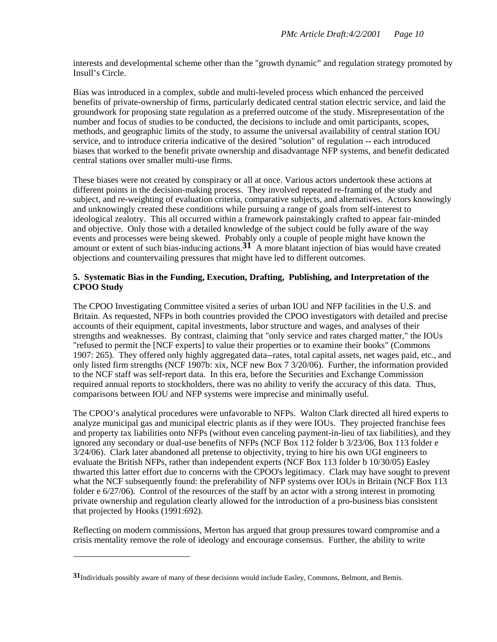interests and developmental scheme other than the "growth dynamic" and regulation strategy promoted by Insull's Circle.

Bias was introduced in a complex, subtle and multi-leveled process which enhanced the perceived benefits of private-ownership of firms, particularly dedicated central station electric service, and laid the groundwork for proposing state regulation as a preferred outcome of the study. Misrepresentation of the number and focus of studies to be conducted, the decisions to include and omit participants, scopes, methods, and geographic limits of the study, to assume the universal availability of central station IOU service, and to introduce criteria indicative of the desired "solution" of regulation -- each introduced biases that worked to the benefit private ownership and disadvantage NFP systems, and benefit dedicated central stations over smaller multi-use firms.

These biases were not created by conspiracy or all at once. Various actors undertook these actions at different points in the decision-making process. They involved repeated re-framing of the study and subject, and re-weighting of evaluation criteria, comparative subjects, and alternatives. Actors knowingly and unknowingly created these conditions while pursuing a range of goals from self-interest to ideological zealotry. This all occurred within a framework painstakingly crafted to appear fair-minded and objective. Only those with a detailed knowledge of the subject could be fully aware of the way events and processes were being skewed. Probably only a couple of people might have known the amount or extent of such bias-inducing actions.**31** A more blatant injection of bias would have created objections and countervailing pressures that might have led to different outcomes.

## **5. Systematic Bias in the Funding, Execution, Drafting, Publishing, and Interpretation of the CPOO Study**

The CPOO Investigating Committee visited a series of urban IOU and NFP facilities in the U.S. and Britain. As requested, NFPs in both countries provided the CPOO investigators with detailed and precise accounts of their equipment, capital investments, labor structure and wages, and analyses of their strengths and weaknesses. By contrast, claiming that "only service and rates charged matter," the IOUs "refused to permit the [NCF experts] to value their properties or to examine their books" (Commons 1907: 265). They offered only highly aggregated data--rates, total capital assets, net wages paid, etc., and only listed firm strengths (NCF 1907b: xix, NCF new Box 7 3/20/06). Further, the information provided to the NCF staff was self-report data. In this era, before the Securities and Exchange Commission required annual reports to stockholders, there was no ability to verify the accuracy of this data. Thus, comparisons between IOU and NFP systems were imprecise and minimally useful.

The CPOO's analytical procedures were unfavorable to NFPs. Walton Clark directed all hired experts to analyze municipal gas and municipal electric plants as if they were IOUs. They projected franchise fees and property tax liabilities onto NFPs (without even canceling payment-in-lieu of tax liabilities), and they ignored any secondary or dual-use benefits of NFPs (NCF Box 112 folder b 3/23/06, Box 113 folder e 3/24/06). Clark later abandoned all pretense to objectivity, trying to hire his own UGI engineers to evaluate the British NFPs, rather than independent experts (NCF Box 113 folder b 10/30/05) Easley thwarted this latter effort due to concerns with the CPOO's legitimacy. Clark may have sought to prevent what the NCF subsequently found: the preferability of NFP systems over IOUs in Britain (NCF Box 113 folder e 6/27/06). Control of the resources of the staff by an actor with a strong interest in promoting private ownership and regulation clearly allowed for the introduction of a pro-business bias consistent that projected by Hooks (1991:692).

Reflecting on modern commissions, Merton has argued that group pressures toward compromise and a crisis mentality remove the role of ideology and encourage consensus. Further, the ability to write

**<sup>31</sup>**Individuals possibly aware of many of these decisions would include Easley, Commons, Belmont, and Bemis.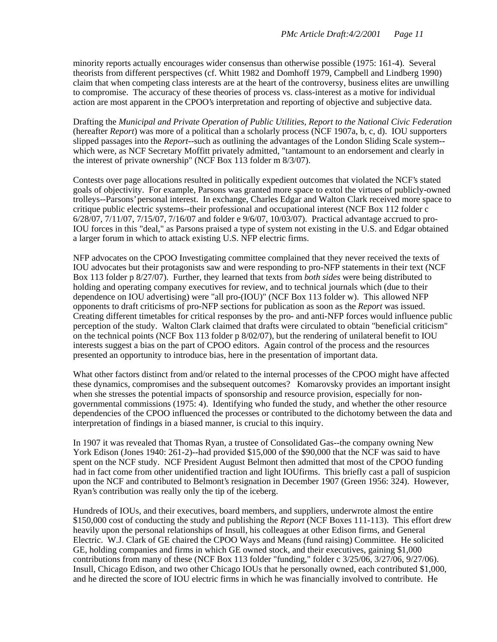minority reports actually encourages wider consensus than otherwise possible (1975: 161-4). Several theorists from different perspectives (cf. Whitt 1982 and Domhoff 1979, Campbell and Lindberg 1990) claim that when competing class interests are at the heart of the controversy, business elites are unwilling to compromise. The accuracy of these theories of process vs. class-interest as a motive for individual action are most apparent in the CPOO's interpretation and reporting of objective and subjective data.

Drafting the *Municipal and Private Operation of Public Utilities, Report to the National Civic Federation* (hereafter *Report*) was more of a political than a scholarly process (NCF 1907a, b, c, d). IOU supporters slipped passages into the *Report*--such as outlining the advantages of the London Sliding Scale system- which were, as NCF Secretary Moffitt privately admitted, "tantamount to an endorsement and clearly in the interest of private ownership" (NCF Box 113 folder m 8/3/07).

Contests over page allocations resulted in politically expedient outcomes that violated the NCF's stated goals of objectivity. For example, Parsons was granted more space to extol the virtues of publicly-owned trolleys--Parsons' personal interest. In exchange, Charles Edgar and Walton Clark received more space to critique public electric systems--their professional and occupational interest (NCF Box 112 folder c 6/28/07, 7/11/07, 7/15/07, 7/16/07 and folder e 9/6/07, 10/03/07). Practical advantage accrued to pro-IOU forces in this "deal," as Parsons praised a type of system not existing in the U.S. and Edgar obtained a larger forum in which to attack existing U.S. NFP electric firms.

NFP advocates on the CPOO Investigating committee complained that they never received the texts of IOU advocates but their protagonists saw and were responding to pro-NFP statements in their text (NCF Box 113 folder p 8/27/07). Further, they learned that texts from *both sides* were being distributed to holding and operating company executives for review, and to technical journals which (due to their dependence on IOU advertising) were "all pro-(IOU)" (NCF Box 113 folder w). This allowed NFP opponents to draft criticisms of pro-NFP sections for publication as soon as the *Report* was issued. Creating different timetables for critical responses by the pro- and anti-NFP forces would influence public perception of the study. Walton Clark claimed that drafts were circulated to obtain "beneficial criticism" on the technical points (NCF Box 113 folder p 8/02/07), but the rendering of unilateral benefit to IOU interests suggest a bias on the part of CPOO editors. Again control of the process and the resources presented an opportunity to introduce bias, here in the presentation of important data.

What other factors distinct from and/or related to the internal processes of the CPOO might have affected these dynamics, compromises and the subsequent outcomes? Komarovsky provides an important insight when she stresses the potential impacts of sponsorship and resource provision, especially for nongovernmental commissions (1975: 4). Identifying who funded the study, and whether the other resource dependencies of the CPOO influenced the processes or contributed to the dichotomy between the data and interpretation of findings in a biased manner, is crucial to this inquiry.

In 1907 it was revealed that Thomas Ryan, a trustee of Consolidated Gas--the company owning New York Edison (Jones 1940: 261-2)--had provided \$15,000 of the \$90,000 that the NCF was said to have spent on the NCF study. NCF President August Belmont then admitted that most of the CPOO funding had in fact come from other unidentified traction and light IOUfirms. This briefly cast a pall of suspicion upon the NCF and contributed to Belmont's resignation in December 1907 (Green 1956: 324). However, Ryan's contribution was really only the tip of the iceberg.

Hundreds of IOUs, and their executives, board members, and suppliers, underwrote almost the entire \$150,000 cost of conducting the study and publishing the *Report* (NCF Boxes 111-113). This effort drew heavily upon the personal relationships of Insull, his colleagues at other Edison firms, and General Electric. W.J. Clark of GE chaired the CPOO Ways and Means (fund raising) Committee. He solicited GE, holding companies and firms in which GE owned stock, and their executives, gaining \$1,000 contributions from many of these (NCF Box 113 folder "funding," folder c 3/25/06, 3/27/06, 9/27/06). Insull, Chicago Edison, and two other Chicago IOUs that he personally owned, each contributed \$1,000, and he directed the score of IOU electric firms in which he was financially involved to contribute. He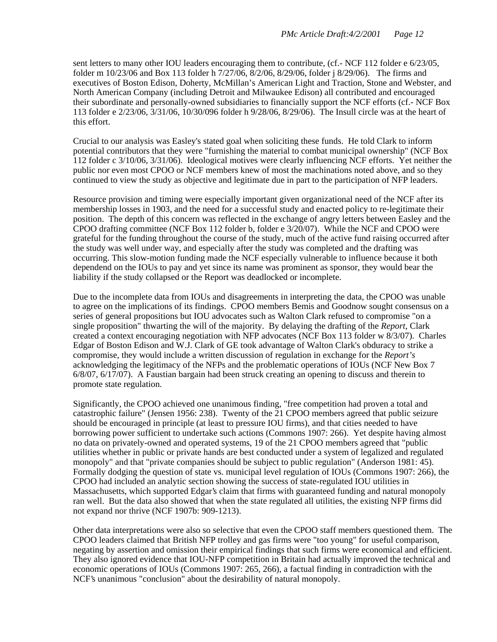sent letters to many other IOU leaders encouraging them to contribute, (cf.- NCF 112 folder e 6/23/05, folder m 10/23/06 and Box 113 folder h 7/27/06, 8/2/06, 8/29/06, folder j 8/29/06). The firms and executives of Boston Edison, Doherty, McMillan's American Light and Traction, Stone and Webster, and North American Company (including Detroit and Milwaukee Edison) all contributed and encouraged their subordinate and personally-owned subsidiaries to financially support the NCF efforts (cf.- NCF Box 113 folder e 2/23/06, 3/31/06, 10/30/096 folder h 9/28/06, 8/29/06). The Insull circle was at the heart of this effort.

Crucial to our analysis was Easley's stated goal when soliciting these funds. He told Clark to inform potential contributors that they were "furnishing the material to combat municipal ownership" (NCF Box 112 folder c 3/10/06, 3/31/06). Ideological motives were clearly influencing NCF efforts. Yet neither the public nor even most CPOO or NCF members knew of most the machinations noted above, and so they continued to view the study as objective and legitimate due in part to the participation of NFP leaders.

Resource provision and timing were especially important given organizational need of the NCF after its membership losses in 1903, and the need for a successful study and enacted policy to re-legitimate their position. The depth of this concern was reflected in the exchange of angry letters between Easley and the CPOO drafting committee (NCF Box 112 folder b, folder e 3/20/07). While the NCF and CPOO were grateful for the funding throughout the course of the study, much of the active fund raising occurred after the study was well under way, and especially after the study was completed and the drafting was occurring. This slow-motion funding made the NCF especially vulnerable to influence because it both dependend on the IOUs to pay and yet since its name was prominent as sponsor, they would bear the liability if the study collapsed or the Report was deadlocked or incomplete.

Due to the incomplete data from IOUs and disagreements in interpreting the data, the CPOO was unable to agree on the implications of its findings. CPOO members Bemis and Goodnow sought consensus on a series of general propositions but IOU advocates such as Walton Clark refused to compromise "on a single proposition" thwarting the will of the majority. By delaying the drafting of the *Report*, Clark created a context encouraging negotiation with NFP advocates (NCF Box 113 folder w 8/3/07). Charles Edgar of Boston Edison and W.J. Clark of GE took advantage of Walton Clark's obduracy to strike a compromise, they would include a written discussion of regulation in exchange for the *Report's* acknowledging the legitimacy of the NFPs and the problematic operations of IOUs (NCF New Box 7 6/8/07, 6/17/07). A Faustian bargain had been struck creating an opening to discuss and therein to promote state regulation.

Significantly, the CPOO achieved one unanimous finding, "free competition had proven a total and catastrophic failure" (Jensen 1956: 238). Twenty of the 21 CPOO members agreed that public seizure should be encouraged in principle (at least to pressure IOU firms), and that cities needed to have borrowing power sufficient to undertake such actions (Commons 1907: 266). Yet despite having almost no data on privately-owned and operated systems, 19 of the 21 CPOO members agreed that "public utilities whether in public or private hands are best conducted under a system of legalized and regulated monopoly" and that "private companies should be subject to public regulation" (Anderson 1981: 45). Formally dodging the question of state vs. municipal level regulation of IOUs (Commons 1907: 266), the CPOO had included an analytic section showing the success of state-regulated IOU utilities in Massachusetts, which supported Edgar's claim that firms with guaranteed funding and natural monopoly ran well. But the data also showed that when the state regulated all utilities, the existing NFP firms did not expand nor thrive (NCF 1907b: 909-1213).

Other data interpretations were also so selective that even the CPOO staff members questioned them. The CPOO leaders claimed that British NFP trolley and gas firms were "too young" for useful comparison, negating by assertion and omission their empirical findings that such firms were economical and efficient. They also ignored evidence that IOU-NFP competition in Britain had actually improved the technical and economic operations of IOUs (Commons 1907: 265, 266), a factual finding in contradiction with the NCF's unanimous "conclusion" about the desirability of natural monopoly.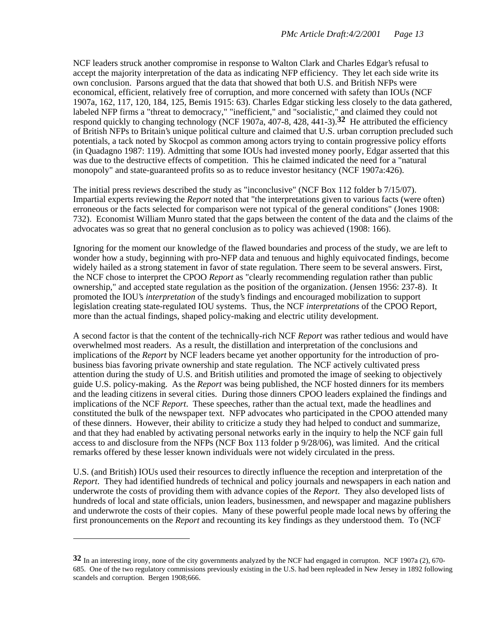NCF leaders struck another compromise in response to Walton Clark and Charles Edgar's refusal to accept the majority interpretation of the data as indicating NFP efficiency. They let each side write its own conclusion. Parsons argued that the data that showed that both U.S. and British NFPs were economical, efficient, relatively free of corruption, and more concerned with safety than IOUs (NCF 1907a, 162, 117, 120, 184, 125, Bemis 1915: 63). Charles Edgar sticking less closely to the data gathered, labeled NFP firms a "threat to democracy," "inefficient," and "socialistic," and claimed they could not respond quickly to changing technology (NCF 1907a, 407-8, 428, 441-3).**32** He attributed the efficiency of British NFPs to Britain's unique political culture and claimed that U.S. urban corruption precluded such potentials, a tack noted by Skocpol as common among actors trying to contain progressive policy efforts (in Quadagno 1987: 119). Admitting that some IOUs had invested money poorly, Edgar asserted that this was due to the destructive effects of competition. This he claimed indicated the need for a "natural monopoly" and state-guaranteed profits so as to reduce investor hesitancy (NCF 1907a:426).

The initial press reviews described the study as "inconclusive" (NCF Box 112 folder b 7/15/07). Impartial experts reviewing the *Report* noted that "the interpretations given to various facts (were often) erroneous or the facts selected for comparison were not typical of the general conditions" (Jones 1908: 732). Economist William Munro stated that the gaps between the content of the data and the claims of the advocates was so great that no general conclusion as to policy was achieved (1908: 166).

Ignoring for the moment our knowledge of the flawed boundaries and process of the study, we are left to wonder how a study, beginning with pro-NFP data and tenuous and highly equivocated findings, become widely hailed as a strong statement in favor of state regulation. There seem to be several answers. First, the NCF chose to interpret the CPOO *Report* as "clearly recommending regulation rather than public ownership," and accepted state regulation as the position of the organization. (Jensen 1956: 237-8). It promoted the IOU's *interpretation* of the study's findings and encouraged mobilization to support legislation creating state-regulated IOU systems. Thus, the NCF *interpretations* of the CPOO Report, more than the actual findings, shaped policy-making and electric utility development.

A second factor is that the content of the technically-rich NCF *Report* was rather tedious and would have overwhelmed most readers. As a result, the distillation and interpretation of the conclusions and implications of the *Report* by NCF leaders became yet another opportunity for the introduction of probusiness bias favoring private ownership and state regulation. The NCF actively cultivated press attention during the study of U.S. and British utilities and promoted the image of seeking to objectively guide U.S. policy-making. As the *Report* was being published, the NCF hosted dinners for its members and the leading citizens in several cities. During those dinners CPOO leaders explained the findings and implications of the NCF *Report*. These speeches, rather than the actual text, made the headlines and constituted the bulk of the newspaper text. NFP advocates who participated in the CPOO attended many of these dinners. However, their ability to criticize a study they had helped to conduct and summarize, and that they had enabled by activating personal networks early in the inquiry to help the NCF gain full access to and disclosure from the NFPs (NCF Box 113 folder p 9/28/06), was limited. And the critical remarks offered by these lesser known individuals were not widely circulated in the press.

U.S. (and British) IOUs used their resources to directly influence the reception and interpretation of the *Report*. They had identified hundreds of technical and policy journals and newspapers in each nation and underwrote the costs of providing them with advance copies of the *Report*. They also developed lists of hundreds of local and state officials, union leaders, businessmen, and newspaper and magazine publishers and underwrote the costs of their copies. Many of these powerful people made local news by offering the first pronouncements on the *Report* and recounting its key findings as they understood them. To (NCF

**<sup>32</sup>** In an interesting irony, none of the city governments analyzed by the NCF had engaged in corrupton. NCF 1907a (2), 670-685. One of the two regulatory commissions previously existing in the U.S. had been repleaded in New Jersey in 1892 following scandels and corruption. Bergen 1908;666.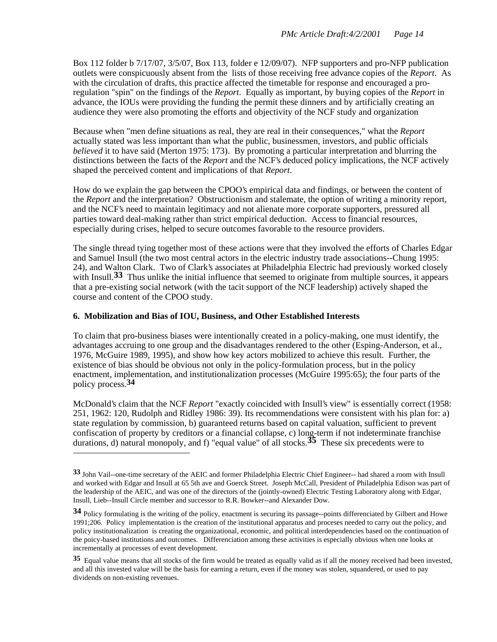Box 112 folder b 7/17/07, 3/5/07, Box 113, folder e 12/09/07). NFP supporters and pro-NFP publication outlets were conspicuously absent from the lists of those receiving free advance copies of the *Report*. As with the circulation of drafts, this practice affected the timetable for response and encouraged a proregulation "spin" on the findings of the *Report*. Equally as important, by buying copies of the *Report* in advance, the IOUs were providing the funding the permit these dinners and by artificially creating an audience they were also promoting the efforts and objectivity of the NCF study and organization

Because when "men define situations as real, they are real in their consequences," what the *Report* actually stated was less important than what the public, businessmen, investors, and public officials *believed* it to have said (Merton 1975: 173). By promoting a particular interpretation and blurring the distinctions between the facts of the *Report* and the NCF's deduced policy implications, the NCF actively shaped the perceived content and implications of that *Report*.

How do we explain the gap between the CPOO's empirical data and findings, or between the content of the *Report* and the interpretation? Obstructionism and stalemate, the option of writing a minority report, and the NCF's need to maintain legitimacy and not alienate more corporate supporters, pressured all parties toward deal-making rather than strict empirical deduction. Access to financial resources, especially during crises, helped to secure outcomes favorable to the resource providers.

The single thread tying together most of these actions were that they involved the efforts of Charles Edgar and Samuel Insull (the two most central actors in the electric industry trade associations--Chung 1995: 24), and Walton Clark. Two of Clark's associates at Philadelphia Electric had previously worked closely with Insull.<sup>33</sup> Thus unlike the initial influence that seemed to originate from multiple sources, it appears that a pre-existing social network (with the tacit support of the NCF leadership) actively shaped the course and content of the CPOO study.

# **6. Mobilization and Bias of IOU, Business, and Other Established Interests**

 $\overline{a}$ 

To claim that pro-business biases were intentionally created in a policy-making, one must identify, the advantages accruing to one group and the disadvantages rendered to the other (Esping-Anderson, et al., 1976, McGuire 1989, 1995), and show how key actors mobilized to achieve this result. Further, the existence of bias should be obvious not only in the policy-formulation process, but in the policy enactment, implementation, and institutionalization processes (McGuire 1995:65); the four parts of the policy process.**34**

McDonald's claim that the NCF *Report* "exactly coincided with Insull's view" is essentially correct (1958: 251, 1962: 120, Rudolph and Ridley 1986: 39). Its recommendations were consistent with his plan for: a) state regulation by commission, b) guaranteed returns based on capital valuation, sufficient to prevent confiscation of property by creditors or a financial collapse, c) long-term if not indeterminate franchise durations, d) natural monopoly, and f) "equal value" of all stocks.**35** These six precedents were to

**<sup>33</sup>** John Vail--one-time secretary of the AEIC and former Philadelphia Electric Chief Engineer-- had shared a room with Insull and worked with Edgar and Insull at 65 5th ave and Goerck Street. Joseph McCall, President of Philadelphia Edison was part of the leadership of the AEIC, and was one of the directors of the (jointly-owned) Electric Testing Laboratory along with Edgar, Insull, Lieb--Insull Circle member and successor to R.R. Bowker--and Alexander Dow.

**<sup>34</sup>** Policy formulating is the writing of the policy, enactment is securing its passage--points differenciated by Gilbert and Howe 1991;206. Policy implementation is the creation of the institutional apparatus and proceses needed to carry out the policy, and policy institutionalization is creating the organizational, economic, and political interdependencies based on the continuation of the poicy-based institutions and outcomes. Differenciation among these activities is especially obvious when one looks at incrementally at processes of event development.

**<sup>35</sup>** Equal value means that all stocks of the firm would be treated as equally valid as if all the money received had been invested, and all this invested value will be the basis for earning a return, even if the money was stolen, squandered, or used to pay dividends on non-existing revenues.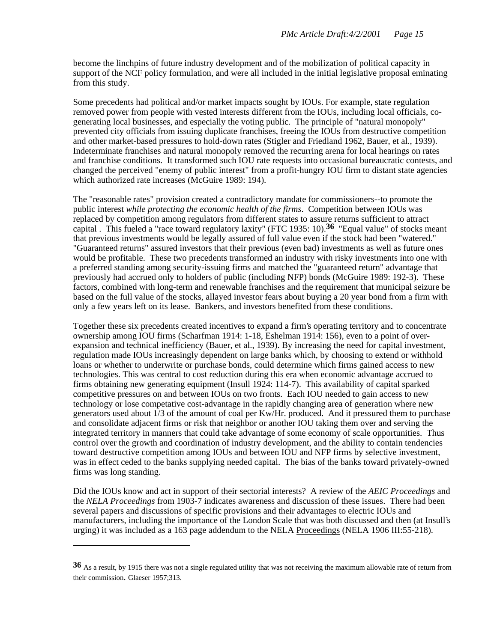become the linchpins of future industry development and of the mobilization of political capacity in support of the NCF policy formulation, and were all included in the initial legislative proposal eminating from this study.

Some precedents had political and/or market impacts sought by IOUs. For example, state regulation removed power from people with vested interests different from the IOUs, including local officials, cogenerating local businesses, and especially the voting public. The principle of "natural monopoly" prevented city officials from issuing duplicate franchises, freeing the IOUs from destructive competition and other market-based pressures to hold-down rates (Stigler and Friedland 1962, Bauer, et al., 1939). Indeterminate franchises and natural monopoly removed the recurring arena for local hearings on rates and franchise conditions. It transformed such IOU rate requests into occasional bureaucratic contests, and changed the perceived "enemy of public interest" from a profit-hungry IOU firm to distant state agencies which authorized rate increases (McGuire 1989: 194).

The "reasonable rates" provision created a contradictory mandate for commissioners--to promote the public interest *while protecting the economic health of the firms*. Competition between IOUs was replaced by competition among regulators from different states to assure returns sufficient to attract capital . This fueled a "race toward regulatory laxity" (FTC 1935: 10).**36** "Equal value" of stocks meant that previous investments would be legally assured of full value even if the stock had been "watered." "Guaranteed returns" assured investors that their previous (even bad) investments as well as future ones would be profitable. These two precedents transformed an industry with risky investments into one with a preferred standing among security-issuing firms and matched the "guaranteed return" advantage that previously had accrued only to holders of public (including NFP) bonds (McGuire 1989: 192-3). These factors, combined with long-term and renewable franchises and the requirement that municipal seizure be based on the full value of the stocks, allayed investor fears about buying a 20 year bond from a firm with only a few years left on its lease. Bankers, and investors benefited from these conditions.

Together these six precedents created incentives to expand a firm's operating territory and to concentrate ownership among IOU firms (Scharfman 1914: 1-18, Eshelman 1914: 156), even to a point of overexpansion and technical inefficiency (Bauer, et al., 1939). By increasing the need for capital investment, regulation made IOUs increasingly dependent on large banks which, by choosing to extend or withhold loans or whether to underwrite or purchase bonds, could determine which firms gained access to new technologies. This was central to cost reduction during this era when economic advantage accrued to firms obtaining new generating equipment (Insull 1924: 114-7). This availability of capital sparked competitive pressures on and between IOUs on two fronts. Each IOU needed to gain access to new technology or lose competative cost-advantage in the rapidly changing area of generation where new generators used about 1/3 of the amount of coal per Kw/Hr. produced. And it pressured them to purchase and consolidate adjacent firms or risk that neighbor or another IOU taking them over and serving the integrated territory in manners that could take advantage of some economy of scale opportunities. Thus control over the growth and coordination of industry development, and the ability to contain tendencies toward destructive competition among IOUs and between IOU and NFP firms by selective investment, was in effect ceded to the banks supplying needed capital. The bias of the banks toward privately-owned firms was long standing.

Did the IOUs know and act in support of their sectorial interests? A review of the *AEIC Proceedings* and the *NELA Proceedings* from 1903-7 indicates awareness and discussion of these issues. There had been several papers and discussions of specific provisions and their advantages to electric IOUs and manufacturers, including the importance of the London Scale that was both discussed and then (at Insull's urging) it was included as a 163 page addendum to the NELA Proceedings (NELA 1906 III:55-218).

**<sup>36</sup>** As a result, by 1915 there was not a single regulated utility that was not receiving the maximum allowable rate of return from their commission. Glaeser 1957;313.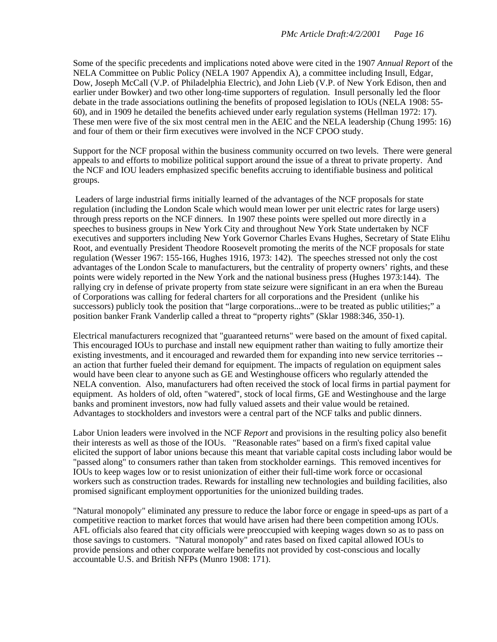Some of the specific precedents and implications noted above were cited in the 1907 *Annual Report* of the NELA Committee on Public Policy (NELA 1907 Appendix A), a committee including Insull, Edgar, Dow, Joseph McCall (V.P. of Philadelphia Electric), and John Lieb (V.P. of New York Edison, then and earlier under Bowker) and two other long-time supporters of regulation. Insull personally led the floor debate in the trade associations outlining the benefits of proposed legislation to IOUs (NELA 1908: 55- 60), and in 1909 he detailed the benefits achieved under early regulation systems (Hellman 1972: 17). These men were five of the six most central men in the AEIC and the NELA leadership (Chung 1995: 16) and four of them or their firm executives were involved in the NCF CPOO study.

Support for the NCF proposal within the business community occurred on two levels. There were general appeals to and efforts to mobilize political support around the issue of a threat to private property. And the NCF and IOU leaders emphasized specific benefits accruing to identifiable business and political groups.

 Leaders of large industrial firms initially learned of the advantages of the NCF proposals for state regulation (including the London Scale which would mean lower per unit electric rates for large users) through press reports on the NCF dinners. In 1907 these points were spelled out more directly in a speeches to business groups in New York City and throughout New York State undertaken by NCF executives and supporters including New York Governor Charles Evans Hughes, Secretary of State Elihu Root, and eventually President Theodore Roosevelt promoting the merits of the NCF proposals for state regulation (Wesser 1967: 155-166, Hughes 1916, 1973: 142). The speeches stressed not only the cost advantages of the London Scale to manufacturers, but the centrality of property owners' rights, and these points were widely reported in the New York and the national business press (Hughes 1973:144). The rallying cry in defense of private property from state seizure were significant in an era when the Bureau of Corporations was calling for federal charters for all corporations and the President (unlike his successors) publicly took the position that "large corporations...were to be treated as public utilities;" a position banker Frank Vanderlip called a threat to "property rights" (Sklar 1988:346, 350-1).

Electrical manufacturers recognized that "guaranteed returns" were based on the amount of fixed capital. This encouraged IOUs to purchase and install new equipment rather than waiting to fully amortize their existing investments, and it encouraged and rewarded them for expanding into new service territories - an action that further fueled their demand for equipment. The impacts of regulation on equipment sales would have been clear to anyone such as GE and Westinghouse officers who regularly attended the NELA convention. Also, manufacturers had often received the stock of local firms in partial payment for equipment. As holders of old, often "watered", stock of local firms, GE and Westinghouse and the large banks and prominent investors, now had fully valued assets and their value would be retained. Advantages to stockholders and investors were a central part of the NCF talks and public dinners.

Labor Union leaders were involved in the NCF *Report* and provisions in the resulting policy also benefit their interests as well as those of the IOUs. "Reasonable rates" based on a firm's fixed capital value elicited the support of labor unions because this meant that variable capital costs including labor would be "passed along" to consumers rather than taken from stockholder earnings. This removed incentives for IOUs to keep wages low or to resist unionization of either their full-time work force or occasional workers such as construction trades. Rewards for installing new technologies and building facilities, also promised significant employment opportunities for the unionized building trades.

"Natural monopoly" eliminated any pressure to reduce the labor force or engage in speed-ups as part of a competitive reaction to market forces that would have arisen had there been competition among IOUs. AFL officials also feared that city officials were preoccupied with keeping wages down so as to pass on those savings to customers. "Natural monopoly" and rates based on fixed capital allowed IOUs to provide pensions and other corporate welfare benefits not provided by cost-conscious and locally accountable U.S. and British NFPs (Munro 1908: 171).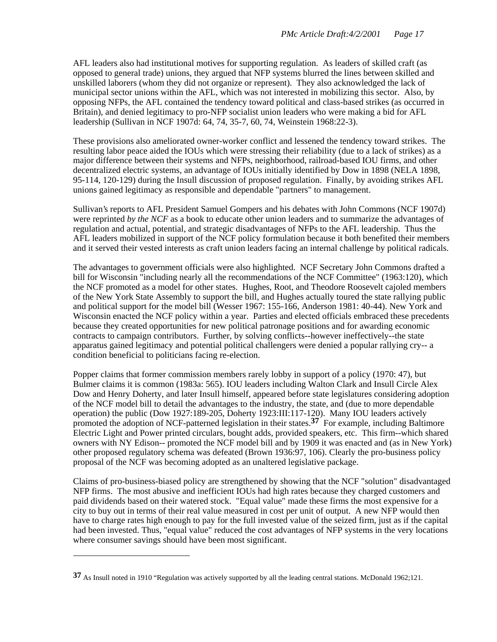AFL leaders also had institutional motives for supporting regulation. As leaders of skilled craft (as opposed to general trade) unions, they argued that NFP systems blurred the lines between skilled and unskilled laborers (whom they did not organize or represent). They also acknowledged the lack of municipal sector unions within the AFL, which was not interested in mobilizing this sector. Also, by opposing NFPs, the AFL contained the tendency toward political and class-based strikes (as occurred in Britain), and denied legitimacy to pro-NFP socialist union leaders who were making a bid for AFL leadership (Sullivan in NCF 1907d: 64, 74, 35-7, 60, 74, Weinstein 1968:22-3).

These provisions also ameliorated owner-worker conflict and lessened the tendency toward strikes. The resulting labor peace aided the IOUs which were stressing their reliability (due to a lack of strikes) as a major difference between their systems and NFPs, neighborhood, railroad-based IOU firms, and other decentralized electric systems, an advantage of IOUs initially identified by Dow in 1898 (NELA 1898, 95-114, 120-129) during the Insull discussion of proposed regulation. Finally, by avoiding strikes AFL unions gained legitimacy as responsible and dependable "partners" to management.

Sullivan's reports to AFL President Samuel Gompers and his debates with John Commons (NCF 1907d) were reprinted *by the NCF* as a book to educate other union leaders and to summarize the advantages of regulation and actual, potential, and strategic disadvantages of NFPs to the AFL leadership. Thus the AFL leaders mobilized in support of the NCF policy formulation because it both benefited their members and it served their vested interests as craft union leaders facing an internal challenge by political radicals.

The advantages to government officials were also highlighted. NCF Secretary John Commons drafted a bill for Wisconsin "including nearly all the recommendations of the NCF Committee" (1963:120), which the NCF promoted as a model for other states. Hughes, Root, and Theodore Roosevelt cajoled members of the New York State Assembly to support the bill, and Hughes actually toured the state rallying public and political support for the model bill (Wesser 1967: 155-166, Anderson 1981: 40-44). New York and Wisconsin enacted the NCF policy within a year. Parties and elected officials embraced these precedents because they created opportunities for new political patronage positions and for awarding economic contracts to campaign contributors. Further, by solving conflicts--however ineffectively--the state apparatus gained legitimacy and potential political challengers were denied a popular rallying cry-- a condition beneficial to politicians facing re-election.

Popper claims that former commission members rarely lobby in support of a policy (1970: 47), but Bulmer claims it is common (1983a: 565). IOU leaders including Walton Clark and Insull Circle Alex Dow and Henry Doherty, and later Insull himself, appeared before state legislatures considering adoption of the NCF model bill to detail the advantages to the industry, the state, and (due to more dependable operation) the public (Dow 1927:189-205, Doherty 1923:III:117-120). Many IOU leaders actively promoted the adoption of NCF-patterned legislation in their states.<sup>37</sup> For example, including Baltimore Electric Light and Power printed circulars, bought adds, provided speakers, etc. This firm--which shared owners with NY Edison-- promoted the NCF model bill and by 1909 it was enacted and (as in New York) other proposed regulatory schema was defeated (Brown 1936:97, 106). Clearly the pro-business policy proposal of the NCF was becoming adopted as an unaltered legislative package.

Claims of pro-business-biased policy are strengthened by showing that the NCF "solution" disadvantaged NFP firms. The most abusive and inefficient IOUs had high rates because they charged customers and paid dividends based on their watered stock. "Equal value" made these firms the most expensive for a city to buy out in terms of their real value measured in cost per unit of output. A new NFP would then have to charge rates high enough to pay for the full invested value of the seized firm, just as if the capital had been invested. Thus, "equal value" reduced the cost advantages of NFP systems in the very locations where consumer savings should have been most significant.

**<sup>37</sup>** As Insull noted in 1910 "Regulation was actively supported by all the leading central stations. McDonald 1962;121.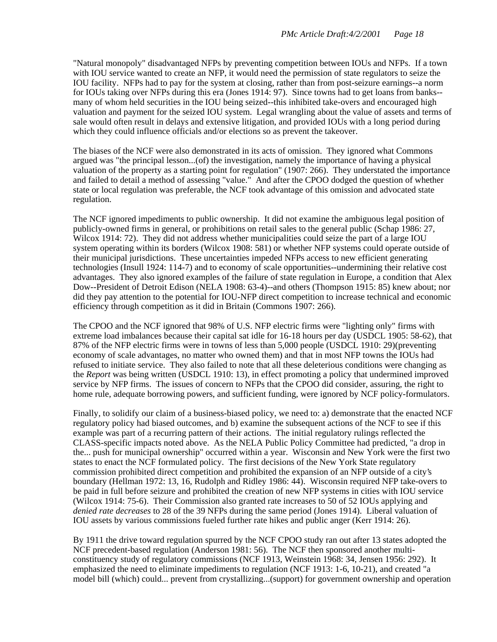"Natural monopoly" disadvantaged NFPs by preventing competition between IOUs and NFPs. If a town with IOU service wanted to create an NFP, it would need the permission of state regulators to seize the IOU facility. NFPs had to pay for the system at closing, rather than from post-seizure earnings--a norm for IOUs taking over NFPs during this era (Jones 1914: 97). Since towns had to get loans from banks- many of whom held securities in the IOU being seized--this inhibited take-overs and encouraged high valuation and payment for the seized IOU system. Legal wrangling about the value of assets and terms of sale would often result in delays and extensive litigation, and provided IOUs with a long period during which they could influence officials and/or elections so as prevent the takeover.

The biases of the NCF were also demonstrated in its acts of omission. They ignored what Commons argued was "the principal lesson...(of) the investigation, namely the importance of having a physical valuation of the property as a starting point for regulation" (1907: 266). They understated the importance and failed to detail a method of assessing "value." And after the CPOO dodged the question of whether state or local regulation was preferable, the NCF took advantage of this omission and advocated state regulation.

The NCF ignored impediments to public ownership. It did not examine the ambiguous legal position of publicly-owned firms in general, or prohibitions on retail sales to the general public (Schap 1986: 27, Wilcox 1914: 72). They did not address whether municipalities could seize the part of a large IOU system operating within its borders (Wilcox 1908: 581) or whether NFP systems could operate outside of their municipal jurisdictions. These uncertainties impeded NFPs access to new efficient generating technologies (Insull 1924: 114-7) and to economy of scale opportunities--undermining their relative cost advantages. They also ignored examples of the failure of state regulation in Europe, a condition that Alex Dow--President of Detroit Edison (NELA 1908: 63-4)--and others (Thompson 1915: 85) knew about; nor did they pay attention to the potential for IOU-NFP direct competition to increase technical and economic efficiency through competition as it did in Britain (Commons 1907: 266).

The CPOO and the NCF ignored that 98% of U.S. NFP electric firms were "lighting only" firms with extreme load imbalances because their capital sat idle for 16-18 hours per day (USDCL 1905: 58-62), that 87% of the NFP electric firms were in towns of less than 5,000 people (USDCL 1910: 29)(preventing economy of scale advantages, no matter who owned them) and that in most NFP towns the IOUs had refused to initiate service. They also failed to note that all these deleterious conditions were changing as the *Report* was being written (USDCL 1910: 13), in effect promoting a policy that undermined improved service by NFP firms. The issues of concern to NFPs that the CPOO did consider, assuring, the right to home rule, adequate borrowing powers, and sufficient funding, were ignored by NCF policy-formulators.

Finally, to solidify our claim of a business-biased policy, we need to: a) demonstrate that the enacted NCF regulatory policy had biased outcomes, and b) examine the subsequent actions of the NCF to see if this example was part of a recurring pattern of their actions. The initial regulatory rulings reflected the CLASS-specific impacts noted above. As the NELA Public Policy Committee had predicted, "a drop in the... push for municipal ownership" occurred within a year. Wisconsin and New York were the first two states to enact the NCF formulated policy. The first decisions of the New York State regulatory commission prohibited direct competition and prohibited the expansion of an NFP outside of a city's boundary (Hellman 1972: 13, 16, Rudolph and Ridley 1986: 44). Wisconsin required NFP take-overs to be paid in full before seizure and prohibited the creation of new NFP systems in cities with IOU service (Wilcox 1914: 75-6). Their Commission also granted rate increases to 50 of 52 IOUs applying and *denied rate decreases* to 28 of the 39 NFPs during the same period (Jones 1914). Liberal valuation of IOU assets by various commissions fueled further rate hikes and public anger (Kerr 1914: 26).

By 1911 the drive toward regulation spurred by the NCF CPOO study ran out after 13 states adopted the NCF precedent-based regulation (Anderson 1981: 56). The NCF then sponsored another multiconstituency study of regulatory commissions (NCF 1913, Weinstein 1968: 34, Jensen 1956: 292). It emphasized the need to eliminate impediments to regulation (NCF 1913: 1-6, 10-21), and created "a model bill (which) could... prevent from crystallizing...(support) for government ownership and operation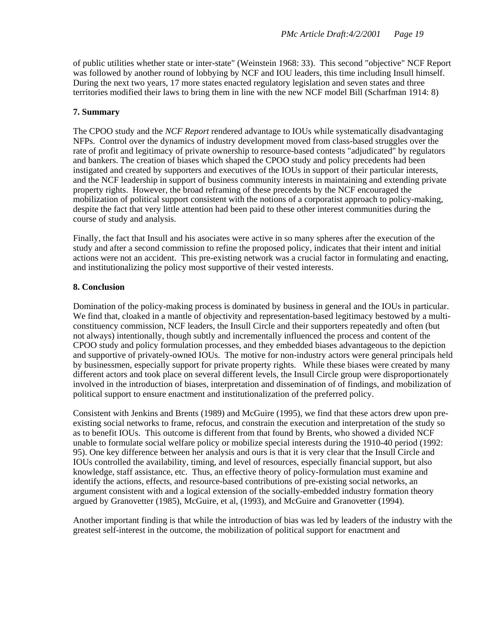of public utilities whether state or inter-state" (Weinstein 1968: 33). This second "objective" NCF Report was followed by another round of lobbying by NCF and IOU leaders, this time including Insull himself. During the next two years, 17 more states enacted regulatory legislation and seven states and three territories modified their laws to bring them in line with the new NCF model Bill (Scharfman 1914: 8)

### **7. Summary**

The CPOO study and the *NCF Report* rendered advantage to IOUs while systematically disadvantaging NFPs. Control over the dynamics of industry development moved from class-based struggles over the rate of profit and legitimacy of private ownership to resource-based contests "adjudicated" by regulators and bankers. The creation of biases which shaped the CPOO study and policy precedents had been instigated and created by supporters and executives of the IOUs in support of their particular interests, and the NCF leadership in support of business community interests in maintaining and extending private property rights. However, the broad reframing of these precedents by the NCF encouraged the mobilization of political support consistent with the notions of a corporatist approach to policy-making, despite the fact that very little attention had been paid to these other interest communities during the course of study and analysis.

Finally, the fact that Insull and his asociates were active in so many spheres after the execution of the study and after a second commission to refine the proposed policy, indicates that their intent and initial actions were not an accident. This pre-existing network was a crucial factor in formulating and enacting, and institutionalizing the policy most supportive of their vested interests.

### **8. Conclusion**

Domination of the policy-making process is dominated by business in general and the IOUs in particular. We find that, cloaked in a mantle of objectivity and representation-based legitimacy bestowed by a multiconstituency commission, NCF leaders, the Insull Circle and their supporters repeatedly and often (but not always) intentionally, though subtly and incrementally influenced the process and content of the CPOO study and policy formulation processes, and they embedded biases advantageous to the depiction and supportive of privately-owned IOUs. The motive for non-industry actors were general principals held by businessmen, especially support for private property rights. While these biases were created by many different actors and took place on several different levels, the Insull Circle group were disproportionately involved in the introduction of biases, interpretation and dissemination of of findings, and mobilization of political support to ensure enactment and institutionalization of the preferred policy.

Consistent with Jenkins and Brents (1989) and McGuire (1995), we find that these actors drew upon preexisting social networks to frame, refocus, and constrain the execution and interpretation of the study so as to benefit IOUs. This outcome is different from that found by Brents, who showed a divided NCF unable to formulate social welfare policy or mobilize special interests during the 1910-40 period (1992: 95). One key difference between her analysis and ours is that it is very clear that the Insull Circle and IOUs controlled the availability, timing, and level of resources, especially financial support, but also knowledge, staff assistance, etc. Thus, an effective theory of policy-formulation must examine and identify the actions, effects, and resource-based contributions of pre-existing social networks, an argument consistent with and a logical extension of the socially-embedded industry formation theory argued by Granovetter (1985), McGuire, et al, (1993), and McGuire and Granovetter (1994).

Another important finding is that while the introduction of bias was led by leaders of the industry with the greatest self-interest in the outcome, the mobilization of political support for enactment and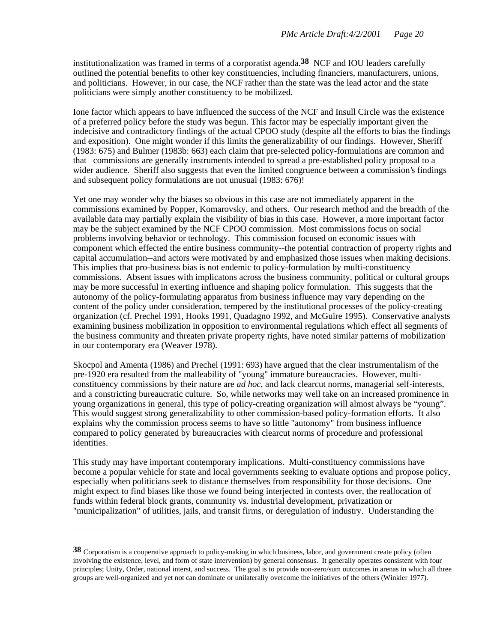institutionalization was framed in terms of a corporatist agenda.**38** NCF and IOU leaders carefully outlined the potential benefits to other key constituencies, including financiers, manufacturers, unions, and politicians. However, in our case, the NCF rather than the state was the lead actor and the state politicians were simply another constituency to be mobilized.

Ione factor which appears to have influenced the success of the NCF and Insull Circle was the existence of a preferred policy before the study was begun. This factor may be especially important given the indecisive and contradictory findings of the actual CPOO study (despite all the efforts to bias the findings and exposition). One might wonder if this limits the generalizability of our findings. However, Sheriff (1983: 675) and Bulmer (1983b: 663) each claim that pre-selected policy-formulations are common and that commissions are generally instruments intended to spread a pre-established policy proposal to a wider audience. Sheriff also suggests that even the limited congruence between a commission's findings and subsequent policy formulations are not unusual (1983: 676)!

Yet one may wonder why the biases so obvious in this case are not immediately apparent in the commissions examined by Popper, Komarovsky, and others. Our research method and the breadth of the available data may partially explain the visibility of bias in this case. However, a more important factor may be the subject examined by the NCF CPOO commission. Most commissions focus on social problems involving behavior or technology. This commission focused on economic issues with component which effected the entire business community--the potential contraction of property rights and capital accumulation--and actors were motivated by and emphasized those issues when making decisions. This implies that pro-business bias is not endemic to policy-formulation by multi-constituency commissions. Absent issues with implicatons across the business community, political or cultural groups may be more successful in exerting influence and shaping policy formulation. This suggests that the autonomy of the policy-formulating apparatus from business influence may vary depending on the content of the policy under consideration, tempered by the institutional processes of the policy-creating organization (cf. Prechel 1991, Hooks 1991, Quadagno 1992, and McGuire 1995). Conservative analysts examining business mobilization in opposition to environmental regulations which effect all segments of the business community and threaten private property rights, have noted similar patterns of mobilization in our contemporary era (Weaver 1978).

Skocpol and Amenta (1986) and Prechel (1991: 693) have argued that the clear instrumentalism of the pre-1920 era resulted from the malleability of "young" immature bureaucracies. However, multiconstituency commissions by their nature are *ad hoc*, and lack clearcut norms, managerial self-interests, and a constricting bureaucratic culture. So, while networks may well take on an increased prominence in young organizations in general, this type of policy-creating organization will almost always be "young". This would suggest strong generalizability to other commission-based policy-formation efforts. It also explains why the commission process seems to have so little "autonomy" from business influence compared to policy generated by bureaucracies with clearcut norms of procedure and professional identities.

This study may have important contemporary implications. Multi-constituency commissions have become a popular vehicle for state and local governments seeking to evaluate options and propose policy, especially when politicians seek to distance themselves from responsibility for those decisions. One might expect to find biases like those we found being interjected in contests over, the reallocation of funds within federal block grants, community vs. industrial development, privatization or "municipalization" of utilities, jails, and transit firms, or deregulation of industry. Understanding the

**<sup>38</sup>** Corporatism is a cooperative approach to policy-making in which business, labor, and government create policy (often involving the existence, level, and form of state intervention) by general consensus. It generally operates consistent with four principles; Unity, Order, national interst, and success. The goal is to provide non-zero/sum outcomes in arenas in which all three groups are well-organized and yet not can dominate or unilaterally overcome the initiatives of the others (Winkler 1977).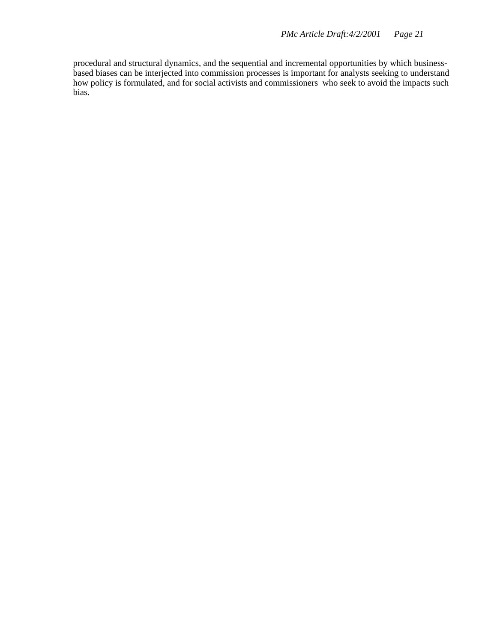procedural and structural dynamics, and the sequential and incremental opportunities by which businessbased biases can be interjected into commission processes is important for analysts seeking to understand how policy is formulated, and for social activists and commissioners who seek to avoid the impacts such bias.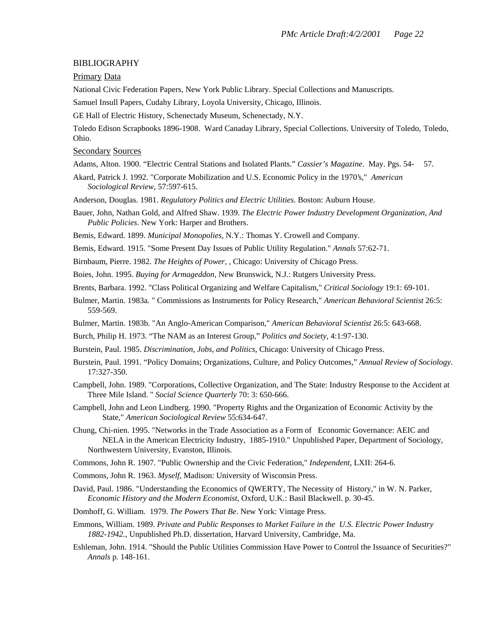#### BIBLIOGRAPHY

#### Primary Data

National Civic Federation Papers, New York Public Library. Special Collections and Manuscripts.

Samuel Insull Papers, Cudahy Library, Loyola University, Chicago, Illinois.

GE Hall of Electric History, Schenectady Museum, Schenectady, N.Y.

Toledo Edison Scrapbooks 1896-1908. Ward Canaday Library, Special Collections. University of Toledo, Toledo, Ohio.

#### Secondary Sources

Adams, Alton. 1900. "Electric Central Stations and Isolated Plants." *Cassier's Magazine*. May. Pgs. 54- 57.

- Akard, Patrick J. 1992. "Corporate Mobilization and U.S. Economic Policy in the 1970's," *American Sociological Review*, 57:597-615.
- Anderson, Douglas. 1981. *Regulatory Politics and Electric Utilities*. Boston: Auburn House.
- Bauer, John, Nathan Gold, and Alfred Shaw. 1939. *The Electric Power Industry Development Organization, And Public Policies*. New York: Harper and Brothers.

Bemis, Edward. 1899. *Municipal Monopolies*, N.Y.: Thomas Y. Crowell and Company.

Bemis, Edward. 1915. "Some Present Day Issues of Public Utility Regulation." *Annals* 57:62-71.

Birnbaum, Pierre. 1982. *The Heights of Power, ,* Chicago: University of Chicago Press.

Boies, John. 1995. *Buying for Armageddon*, New Brunswick, N.J.: Rutgers University Press.

Brents, Barbara. 1992. "Class Political Organizing and Welfare Capitalism," *Critical Sociology* 19:1: 69-101.

- Bulmer, Martin. 1983a. " Commissions as Instruments for Policy Research," *American Behavioral Scientist* 26:5: 559-569.
- Bulmer, Martin. 1983b. "An Anglo-American Comparison," *American Behavioral Scientist* 26:5: 643-668.
- Burch, Philip H. 1973. "The NAM as an Interest Group," *Politics and Society*, 4:1:97-130.
- Burstein, Paul. 1985. *Discrimination, Jobs, and Politics*, Chicago: University of Chicago Press.
- Burstein, Paul. 1991. "Policy Domains; Organizations, Culture, and Policy Outcomes," *Annual Review of Sociology*. 17:327-350.
- Campbell, John. 1989. "Corporations, Collective Organization, and The State: Industry Response to the Accident at Three Mile Island. " *Social Science Quarterly* 70: 3: 650-666.
- Campbell, John and Leon Lindberg. 1990. "Property Rights and the Organization of Economic Activity by the State," *American Sociological Review* 55:634-647.
- Chung, Chi-nien. 1995. "Networks in the Trade Association as a Form of Economic Governance: AEIC and NELA in the American Electricity Industry, 1885-1910." Unpublished Paper, Department of Sociology, Northwestern University, Evanston, Illinois.
- Commons, John R. 1907. "Public Ownership and the Civic Federation," *Independent*, LXII: 264-6.
- Commons, John R. 1963. *Myself*, Madison: University of Wisconsin Press.
- David, Paul. 1986. "Understanding the Economics of QWERTY, The Necessity of History," in W. N. Parker, *Economic History and the Modern Economist*, Oxford, U.K.: Basil Blackwell. p. 30-45.
- Domhoff, G. William. 1979. *The Powers That Be*. New York: Vintage Press.
- Emmons, William. 1989. *Private and Public Responses to Market Failure in the U.S. Electric Power Industry 1882-1942.*, Unpublished Ph.D. dissertation, Harvard University, Cambridge, Ma.
- Eshleman, John. 1914. "Should the Public Utilities Commission Have Power to Control the Issuance of Securities?" *Annals* p. 148-161.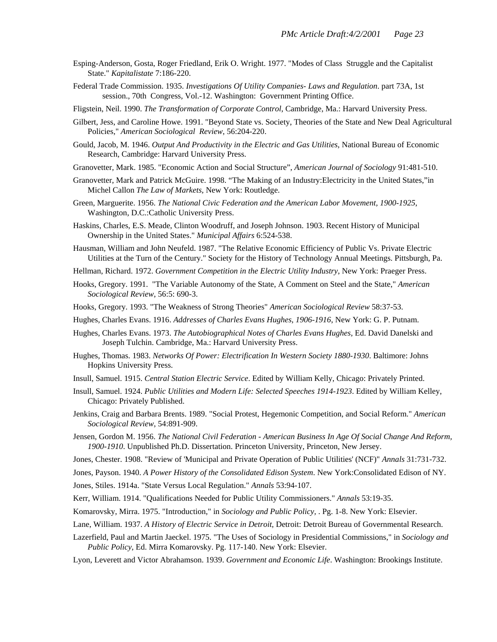- Esping-Anderson, Gosta, Roger Friedland, Erik O. Wright. 1977. "Modes of Class Struggle and the Capitalist State." *Kapitalistate* 7:186-220.
- Federal Trade Commission. 1935. *Investigations Of Utility Companies- Laws and Regulation*. part 73A, 1st session., 70th Congress, Vol.-12. Washington: Government Printing Office.
- Fligstein, Neil. 1990. *The Transformation of Corporate Control*, Cambridge, Ma.: Harvard University Press.
- Gilbert, Jess, and Caroline Howe. 1991. "Beyond State vs. Society, Theories of the State and New Deal Agricultural Policies," *American Sociological Review*, 56:204-220.
- Gould, Jacob, M. 1946. *Output And Productivity in the Electric and Gas Utilities*, National Bureau of Economic Research, Cambridge: Harvard University Press.
- Granovetter, Mark. 1985. "Economic Action and Social Structure", *American Journal of Sociology* 91:481-510.
- Granovetter, Mark and Patrick McGuire. 1998. "The Making of an Industry:Electricity in the United States,"in Michel Callon *The Law of Markets,* New York: Routledge.
- Green, Marguerite. 1956. *The National Civic Federation and the American Labor Movement, 1900-1925*, Washington, D.C.:Catholic University Press.
- Haskins, Charles, E.S. Meade, Clinton Woodruff, and Joseph Johnson. 1903. Recent History of Municipal Ownership in the United States." *Municipal Affairs* 6:524-538.
- Hausman, William and John Neufeld. 1987. "The Relative Economic Efficiency of Public Vs. Private Electric Utilities at the Turn of the Century." Society for the History of Technology Annual Meetings. Pittsburgh, Pa.
- Hellman, Richard. 1972. *Government Competition in the Electric Utility Industry*, New York: Praeger Press.
- Hooks, Gregory. 1991. "The Variable Autonomy of the State, A Comment on Steel and the State," *American Sociological Review*, 56:5: 690-3.
- Hooks, Gregory. 1993. "The Weakness of Strong Theories" *American Sociological Review* 58:37-53.
- Hughes, Charles Evans. 1916. *Addresses of Charles Evans Hughes, 1906-1916*, New York: G. P. Putnam.
- Hughes, Charles Evans. 1973. *The Autobiographical Notes of Charles Evans Hughes,* Ed. David Danelski and Joseph Tulchin. Cambridge, Ma.: Harvard University Press.
- Hughes, Thomas. 1983. *Networks Of Power: Electrification In Western Society 1880-1930*. Baltimore: Johns Hopkins University Press.
- Insull, Samuel. 1915. *Central Station Electric Service*. Edited by William Kelly, Chicago: Privately Printed.
- Insull, Samuel. 1924. *Public Utilities and Modern Life: Selected Speeches 1914-1923*. Edited by William Kelley, Chicago: Privately Published.
- Jenkins, Craig and Barbara Brents. 1989. "Social Protest, Hegemonic Competition, and Social Reform." *American Sociological Review*, 54:891-909.
- Jensen, Gordon M. 1956. *The National Civil Federation American Business In Age Of Social Change And Reform, 1900-1910*. Unpublished Ph.D. Dissertation. Princeton University, Princeton, New Jersey.
- Jones, Chester. 1908. "Review of 'Municipal and Private Operation of Public Utilities' (NCF)" *Annals* 31:731-732.
- Jones, Payson. 1940. *A Power History of the Consolidated Edison System*. New York:Consolidated Edison of NY.
- Jones, Stiles. 1914a. "State Versus Local Regulation." *Annals* 53:94-107.
- Kerr, William. 1914. "Qualifications Needed for Public Utility Commissioners." *Annals* 53:19-35.
- Komarovsky, Mirra. 1975. "Introduction," in *Sociology and Public Policy,* . Pg. 1-8. New York: Elsevier.
- Lane, William. 1937. *A History of Electric Service in Detroit*, Detroit: Detroit Bureau of Governmental Research.
- Lazerfield, Paul and Martin Jaeckel. 1975. "The Uses of Sociology in Presidential Commissions," in *Sociology and Public Policy*, Ed. Mirra Komarovsky. Pg. 117-140. New York: Elsevier.
- Lyon, Leverett and Victor Abrahamson. 1939. *Government and Economic Life*. Washington: Brookings Institute.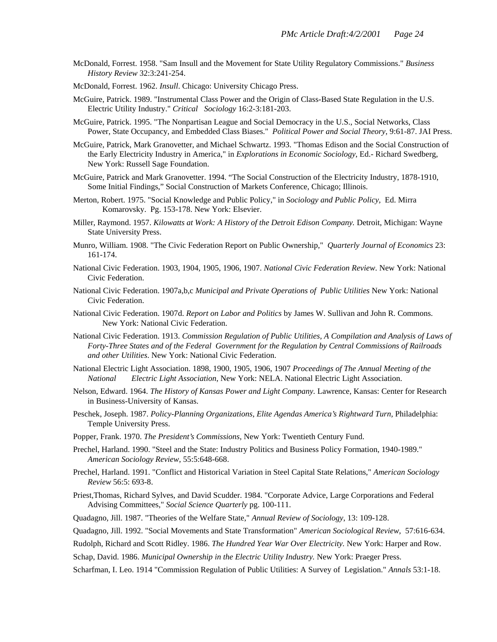- McDonald, Forrest. 1958. "Sam Insull and the Movement for State Utility Regulatory Commissions." *Business History Review* 32:3:241-254.
- McDonald, Forrest. 1962. *Insull*. Chicago: University Chicago Press.
- McGuire, Patrick. 1989. "Instrumental Class Power and the Origin of Class-Based State Regulation in the U.S. Electric Utility Industry." *Critical Sociology* 16:2-3:181-203.
- McGuire, Patrick. 1995. "The Nonpartisan League and Social Democracy in the U.S., Social Networks, Class Power, State Occupancy, and Embedded Class Biases." *Political Power and Social Theory*, 9:61-87. JAI Press.
- McGuire, Patrick, Mark Granovetter, and Michael Schwartz. 1993. "Thomas Edison and the Social Construction of the Early Electricity Industry in America," in *Explorations in Economic Sociology*, Ed.- Richard Swedberg, New York: Russell Sage Foundation.
- McGuire, Patrick and Mark Granovetter. 1994. "The Social Construction of the Electricity Industry, 1878-1910, Some Initial Findings," Social Construction of Markets Conference, Chicago; Illinois.
- Merton, Robert. 1975. "Social Knowledge and Public Policy," in *Sociology and Public Policy,* Ed. Mirra Komarovsky. Pg. 153-178. New York: Elsevier.
- Miller, Raymond. 1957. *Kilowatts at Work: A History of the Detroit Edison Company.* Detroit, Michigan: Wayne State University Press.
- Munro, William. 1908. "The Civic Federation Report on Public Ownership," *Quarterly Journal of Economics* 23: 161-174.
- National Civic Federation. 1903, 1904, 1905, 1906, 1907. *National Civic Federation Review*. New York: National Civic Federation.
- National Civic Federation. 1907a,b,c *Municipal and Private Operations of Public Utilities* New York: National Civic Federation.
- National Civic Federation. 1907d. *Report on Labor and Politics* by James W. Sullivan and John R. Commons. New York: National Civic Federation.
- National Civic Federation. 1913. *Commission Regulation of Public Utilities, A Compilation and Analysis of Laws of Forty-Three States and of the Federal Government for the Regulation by Central Commissions of Railroads and other Utilities*. New York: National Civic Federation.
- National Electric Light Association. 1898, 1900, 1905, 1906, 1907 *Proceedings of The Annual Meeting of the National Electric Light Association*, New York: NELA. National Electric Light Association.
- Nelson, Edward. 1964. *The History of Kansas Power and Light Company.* Lawrence, Kansas: Center for Research in Business-University of Kansas.
- Peschek, Joseph. 1987. *Policy-Planning Organizations, Elite Agendas America's Rightward Turn,* Philadelphia: Temple University Press.
- Popper, Frank. 1970. *The President's Commissions*, New York: Twentieth Century Fund.
- Prechel, Harland. 1990. "Steel and the State: Industry Politics and Business Policy Formation, 1940-1989." *American Sociology Review*, 55:5:648-668.
- Prechel, Harland. 1991. "Conflict and Historical Variation in Steel Capital State Relations," *American Sociology Review* 56:5: 693-8.
- Priest,Thomas, Richard Sylves, and David Scudder. 1984. "Corporate Advice, Large Corporations and Federal Advising Committees," *Social Science Quarterly* pg. 100-111.

Quadagno, Jill. 1987. "Theories of the Welfare State," *Annual Review of Sociology*, 13: 109-128.

Quadagno, Jill. 1992. "Social Movements and State Transformation" *American Sociological Review*, 57:616-634.

Rudolph, Richard and Scott Ridley. 1986. *The Hundred Year War Over Electricity.* New York: Harper and Row.

Schap, David. 1986. *Municipal Ownership in the Electric Utility Industry.* New York: Praeger Press.

Scharfman, I. Leo. 1914 "Commission Regulation of Public Utilities: A Survey of Legislation." *Annals* 53:1-18.